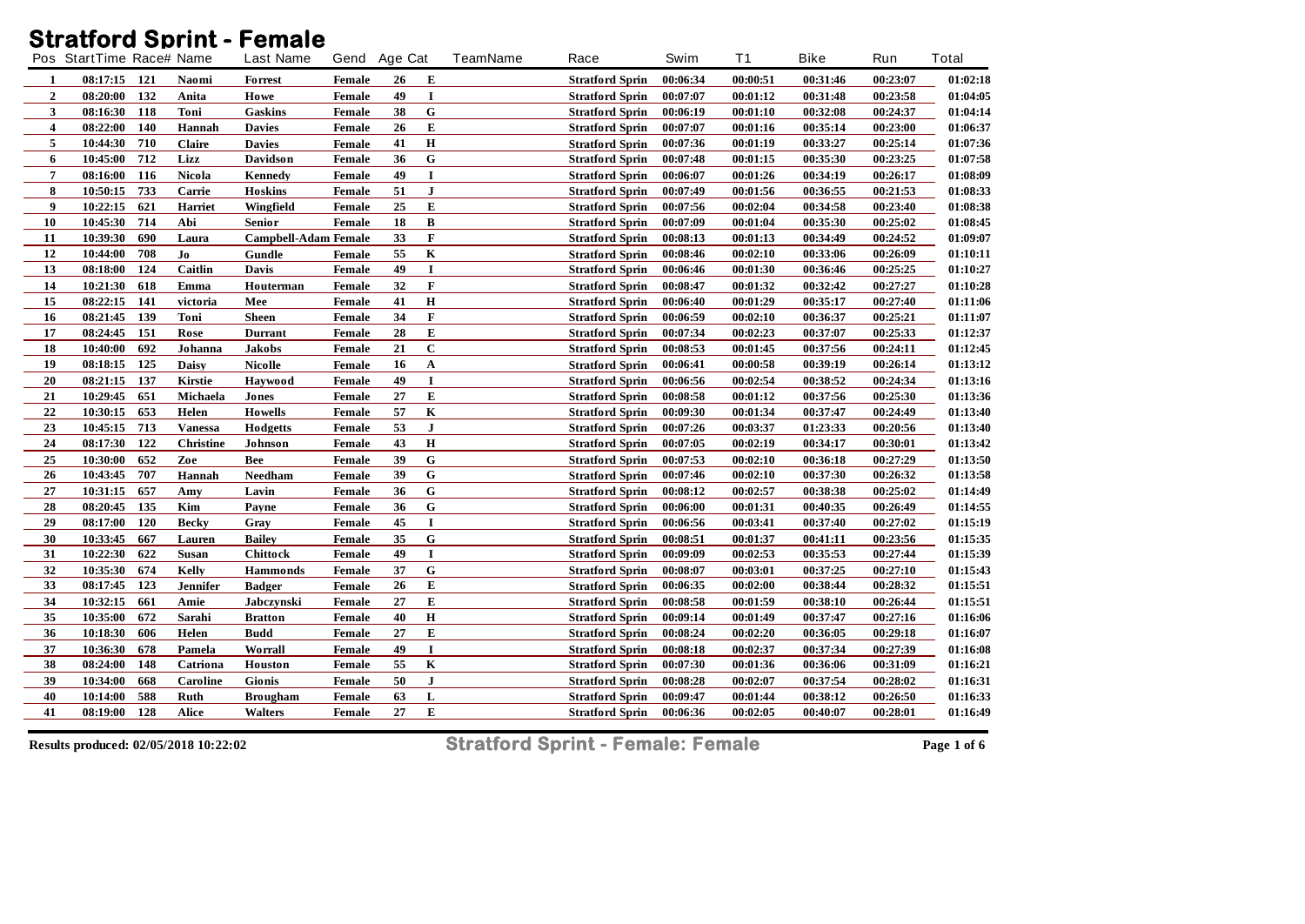## **Stratford Sprint - Female**

| 00:06:34<br>00:00:51<br>00:31:46<br>00:23:07<br>08:17:15 121<br>Naomi<br><b>Forrest</b><br>Female<br>26<br>Е<br><b>Stratford Sprin</b><br>1<br>$\overline{2}$<br>132<br>I<br>08:20:00<br>Howe<br>49<br>00:07:07<br>00:01:12<br>00:31:48<br>00:23:58<br>Anita<br>Female<br><b>Stratford Sprin</b><br>3<br>118<br>G<br>08:16:30<br>Toni<br>38<br><b>Stratford Sprin</b><br>00:06:19<br>00:01:10<br>00:32:08<br>00:24:37<br>Gaskins<br><b>Female</b><br>E<br>$\overline{\mathbf{4}}$<br>140<br>08:22:00<br>26<br>00:07:07<br>00:01:16<br>00:35:14<br>00:23:00<br>Hannah<br><b>Davies</b><br>Female<br><b>Stratford Sprin</b><br>$\bf H$<br>5<br>710<br>41<br>10:44:30<br>Claire<br>00:07:36<br>00:01:19<br>00:33:27<br>00:25:14<br><b>Davies</b><br><b>Stratford Sprin</b><br><b>Female</b><br>712<br>${\bf G}$<br>10:45:00<br>Lizz<br>36<br>00:35:30<br>00:23:25<br>6<br>Davidson<br><b>Stratford Sprin</b><br>00:07:48<br>00:01:15<br>Female<br>$\overline{7}$<br>08:16:00<br>116<br><b>Nicola</b><br>49<br>I<br>00:06:07<br>00:34:19<br>00:26:17<br>Kennedy<br>Female<br><b>Stratford Sprin</b><br>00:01:26<br>733<br>${\bf J}$<br>8<br>51<br>00:36:55<br>10:50:15<br>Carrie<br><b>Hoskins</b><br><b>Stratford Sprin</b><br>00:07:49<br>00:01:56<br>00:21:53<br><b>Female</b><br>E<br>9<br>621<br>10:22:15<br>25<br>00:07:56<br>00:23:40<br><b>Harriet</b><br>Wingfield<br>Female<br><b>Stratford Sprin</b><br>00:02:04<br>00:34:58<br>10<br>10:45:30<br>714<br>18<br>B<br>00:25:02<br>Abi<br><b>Stratford Sprin</b><br>00:07:09<br>00:01:04<br>00:35:30<br>Senior<br>Female<br>F<br>11<br>690<br>33<br>10:39:30<br><b>Campbell-Adam Female</b><br>00:08:13<br>00:34:49<br>00:24:52<br>Laura<br><b>Stratford Sprin</b><br>00:01:13<br>$\mathbf K$<br>12<br>708<br>Jo<br>10:44:00<br>55<br>00:08:46<br>00:02:10<br>00:33:06<br>00:26:09<br>Gundle<br>Female<br><b>Stratford Sprin</b><br>13<br>124<br>Caitlin<br>49<br>I<br>00:25:25<br>08:18:00<br>00:06:46<br>00:01:30<br>00:36:46<br>Davis<br>Female<br><b>Stratford Sprin</b><br>F<br>14<br>10:21:30<br>618<br>32<br>00:08:47<br>00:32:42<br>00:27:27<br>Emma<br><b>Female</b><br><b>Stratford Sprin</b><br>00:01:32<br>Houterman<br>$\bf H$<br>15<br>08:22:15<br>141<br>41<br>00:35:17<br>00:27:40<br>00:06:40<br>00:01:29<br>victoria<br>Mee<br>Female<br><b>Stratford Sprin</b><br>F<br>139<br>16<br>08:21:45<br>Toni<br>34<br>00:06:59<br>00:02:10<br>00:36:37<br>00:25:21<br><b>Sheen</b><br>Female<br><b>Stratford Sprin</b><br>E<br>17<br>151<br>08:24:45<br>28<br>00:07:34<br>00:02:23<br>00:37:07<br>00:25:33<br>Rose<br><b>Durrant</b><br><b>Stratford Sprin</b><br>Female<br>18<br>$\mathbf C$<br>692<br>21<br>10:40:00<br>Johanna<br>Jakobs<br><b>Stratford Sprin</b><br>00:08:53<br>00:01:45<br>00:37:56<br>00:24:11<br><b>Female</b><br>19<br>125<br>08:18:15<br><b>Daisy</b><br>16<br>00:00:58<br>00:39:19<br>00:26:14<br><b>Nicolle</b><br>A<br><b>Stratford Sprin</b><br>00:06:41<br>Female<br>20<br>$\mathbf I$<br>08:21:15<br>137<br>49<br>00:02:54<br><b>Kirstie</b><br>00:06:56<br>00:38:52<br>00:24:34<br>Haywood<br><b>Stratford Sprin</b><br>Female<br>${\bf 21}$<br>E<br>10:29:45<br>651<br>27<br>00:37:56<br>00:25:30<br>Michaela<br>Female<br><b>Stratford Sprin</b><br>00:08:58<br>00:01:12<br>Jones<br>22<br>653<br>$\mathbf K$<br>10:30:15<br>Helen<br>57<br><b>Stratford Sprin</b><br>00:09:30<br>00:01:34<br>00:37:47<br>00:24:49<br>Howells<br>Female<br>23<br>713<br>${\bf J}$<br>53<br>10:45:15<br><b>Vanessa</b><br>00:07:26<br>00:03:37<br>01:23:33<br>00:20:56<br>Hodgetts<br><b>Female</b><br><b>Stratford Sprin</b><br>$\mathbf H$<br>24<br>08:17:30<br>122<br><b>Christine</b><br>43<br>00:07:05<br>00:02:19<br>00:34:17<br>00:30:01<br>Johnson<br>Female<br><b>Stratford Sprin</b><br>25<br>${\bf G}$<br>652<br>39<br>10:30:00<br>Zoe<br>00:07:53<br>00:02:10<br>00:36:18<br>00:27:29<br>Bee<br><b>Stratford Sprin</b><br>Female<br>$26\phantom{.}$<br>$\mathbf G$<br>707<br>39<br>10:43:45<br>Hannah<br>Needham<br>00:07:46<br>00:02:10<br>00:37:30<br>00:26:32<br><b>Female</b><br><b>Stratford Sprin</b><br>$\mathbf G$<br>27<br>657<br>36<br>10:31:15<br>Lavin<br>00:08:12<br>00:02:57<br>00:38:38<br>00:25:02<br>Amy<br>Female<br><b>Stratford Sprin</b><br>28<br>${\bf G}$<br>135<br>Kim<br>36<br>08:20:45<br>00:06:00<br>00:40:35<br>00:26:49<br>Payne<br><b>Female</b><br><b>Stratford Sprin</b><br>00:01:31<br>29<br>08:17:00<br>120<br><b>Becky</b><br>45<br>I<br>00:37:40<br>00:27:02<br>Gray<br>Female<br><b>Stratford Sprin</b><br>00:06:56<br>00:03:41<br>30<br>667<br>G<br>10:33:45<br>35<br>00:23:56<br>00:08:51<br>00:01:37<br>00:41:11<br>Lauren<br><b>Bailey</b><br>Female<br><b>Stratford Sprin</b><br>31<br>622<br>49<br>$\mathbf I$<br>00:27:44<br>10:22:30<br><b>Susan</b><br>00:09:09<br>00:02:53<br>00:35:53<br>Chittock<br><b>Stratford Sprin</b><br><b>Female</b><br>G<br>32<br>674<br>37<br>10:35:30<br>Kelly<br>00:27:10<br><b>Hammonds</b><br><b>Stratford Sprin</b><br>00:08:07<br>00:03:01<br>00:37:25<br>Female<br>33<br>08:17:45<br>123<br>E<br>26<br><b>Stratford Sprin</b><br>00:06:35<br>00:02:00<br>00:38:44<br>00:28:32<br>Jennifer<br>Badger<br><b>Female</b><br>E<br>34<br>10:32:15<br>661<br>27<br>Amie<br>Jabczynski<br>00:08:58<br>00:38:10<br>00:26:44<br>Female<br><b>Stratford Sprin</b><br>00:01:59<br>$\mathbf H$<br>35<br>10:35:00<br>672<br>40<br>00:27:16<br>Sarahi<br>00:09:14<br>00:01:49<br>00:37:47<br><b>Stratford Sprin</b><br><b>Bratton</b><br>Female<br>E<br>36<br>10:18:30<br>606<br>27<br>00:08:24<br>00:36:05<br>00:29:18<br>Helen<br><b>Budd</b><br>00:02:20<br><b>Female</b><br><b>Stratford Sprin</b><br>37<br>678<br>$\mathbf I$<br>00:27:39<br>10:36:30<br>49<br><b>Stratford Sprin</b><br>00:08:18<br>00:02:37<br>00:37:34<br>Pamela<br>Worrall<br>Female<br>$\bf K$<br>38<br>148<br>08:24:00<br>55<br>00:07:30<br>00:01:36<br>00:36:06<br>00:31:09<br>Catriona<br>Houston<br>Female<br><b>Stratford Sprin</b><br>${\bf J}$<br>39<br>668<br>50<br>10:34:00<br>Caroline<br><b>Stratford Sprin</b><br>00:08:28<br>00:02:07<br>00:37:54<br>00:28:02<br><b>Gionis</b><br>Female<br>40<br>588<br>63<br>L<br>10:14:00<br>00:09:47<br>00:01:44<br>00:38:12<br>00:26:50<br>Ruth<br><b>Brougham</b><br>Female<br><b>Stratford Sprin</b><br>41<br>E<br>08:19:00<br>128<br>27<br>00:40:07<br>00:28:01<br>Alice<br><b>Walters</b><br>Female<br><b>Stratford Sprin</b><br>00:06:36<br>00:02:05 | Pos StartTime Race# Name |  | <b>Last Name</b> | Gend Age Cat | <b>TeamName</b><br>Race | Swim | <b>T1</b> | <b>Bike</b> | Run | <b>Total</b> |
|------------------------------------------------------------------------------------------------------------------------------------------------------------------------------------------------------------------------------------------------------------------------------------------------------------------------------------------------------------------------------------------------------------------------------------------------------------------------------------------------------------------------------------------------------------------------------------------------------------------------------------------------------------------------------------------------------------------------------------------------------------------------------------------------------------------------------------------------------------------------------------------------------------------------------------------------------------------------------------------------------------------------------------------------------------------------------------------------------------------------------------------------------------------------------------------------------------------------------------------------------------------------------------------------------------------------------------------------------------------------------------------------------------------------------------------------------------------------------------------------------------------------------------------------------------------------------------------------------------------------------------------------------------------------------------------------------------------------------------------------------------------------------------------------------------------------------------------------------------------------------------------------------------------------------------------------------------------------------------------------------------------------------------------------------------------------------------------------------------------------------------------------------------------------------------------------------------------------------------------------------------------------------------------------------------------------------------------------------------------------------------------------------------------------------------------------------------------------------------------------------------------------------------------------------------------------------------------------------------------------------------------------------------------------------------------------------------------------------------------------------------------------------------------------------------------------------------------------------------------------------------------------------------------------------------------------------------------------------------------------------------------------------------------------------------------------------------------------------------------------------------------------------------------------------------------------------------------------------------------------------------------------------------------------------------------------------------------------------------------------------------------------------------------------------------------------------------------------------------------------------------------------------------------------------------------------------------------------------------------------------------------------------------------------------------------------------------------------------------------------------------------------------------------------------------------------------------------------------------------------------------------------------------------------------------------------------------------------------------------------------------------------------------------------------------------------------------------------------------------------------------------------------------------------------------------------------------------------------------------------------------------------------------------------------------------------------------------------------------------------------------------------------------------------------------------------------------------------------------------------------------------------------------------------------------------------------------------------------------------------------------------------------------------------------------------------------------------------------------------------------------------------------------------------------------------------------------------------------------------------------------------------------------------------------------------------------------------------------------------------------------------------------------------------------------------------------------------------------------------------------------------------------------------------------------------------------------------------------------------------------------------------------------------------------------------------------------------------------------------------------------------------------------------------------------------------------------------------------------------------------------------------------------------------------------------------------------------------------------------------------------------------------------------------------------------------------------------------------------------------------------------------------------------------------------------------------------------------------------------------------------------------------------------------------------------------------------------------------------------------------------------------------------------------------------------------------------------------------------------------------------------------------------------------------------------------------------------------------------------------------------------------------------------------------------------------------------------------------------------------------------------------------------------------------------------------------|--------------------------|--|------------------|--------------|-------------------------|------|-----------|-------------|-----|--------------|
|                                                                                                                                                                                                                                                                                                                                                                                                                                                                                                                                                                                                                                                                                                                                                                                                                                                                                                                                                                                                                                                                                                                                                                                                                                                                                                                                                                                                                                                                                                                                                                                                                                                                                                                                                                                                                                                                                                                                                                                                                                                                                                                                                                                                                                                                                                                                                                                                                                                                                                                                                                                                                                                                                                                                                                                                                                                                                                                                                                                                                                                                                                                                                                                                                                                                                                                                                                                                                                                                                                                                                                                                                                                                                                                                                                                                                                                                                                                                                                                                                                                                                                                                                                                                                                                                                                                                                                                                                                                                                                                                                                                                                                                                                                                                                                                                                                                                                                                                                                                                                                                                                                                                                                                                                                                                                                                                                                                                                                                                                                                                                                                                                                                                                                                                                                                                                                                                                                                                                                                                                                                                                                                                                                                                                                                                                                                                                                                                                                                      |                          |  |                  |              |                         |      |           |             |     | 01:02:18     |
|                                                                                                                                                                                                                                                                                                                                                                                                                                                                                                                                                                                                                                                                                                                                                                                                                                                                                                                                                                                                                                                                                                                                                                                                                                                                                                                                                                                                                                                                                                                                                                                                                                                                                                                                                                                                                                                                                                                                                                                                                                                                                                                                                                                                                                                                                                                                                                                                                                                                                                                                                                                                                                                                                                                                                                                                                                                                                                                                                                                                                                                                                                                                                                                                                                                                                                                                                                                                                                                                                                                                                                                                                                                                                                                                                                                                                                                                                                                                                                                                                                                                                                                                                                                                                                                                                                                                                                                                                                                                                                                                                                                                                                                                                                                                                                                                                                                                                                                                                                                                                                                                                                                                                                                                                                                                                                                                                                                                                                                                                                                                                                                                                                                                                                                                                                                                                                                                                                                                                                                                                                                                                                                                                                                                                                                                                                                                                                                                                                                      |                          |  |                  |              |                         |      |           |             |     | 01:04:05     |
|                                                                                                                                                                                                                                                                                                                                                                                                                                                                                                                                                                                                                                                                                                                                                                                                                                                                                                                                                                                                                                                                                                                                                                                                                                                                                                                                                                                                                                                                                                                                                                                                                                                                                                                                                                                                                                                                                                                                                                                                                                                                                                                                                                                                                                                                                                                                                                                                                                                                                                                                                                                                                                                                                                                                                                                                                                                                                                                                                                                                                                                                                                                                                                                                                                                                                                                                                                                                                                                                                                                                                                                                                                                                                                                                                                                                                                                                                                                                                                                                                                                                                                                                                                                                                                                                                                                                                                                                                                                                                                                                                                                                                                                                                                                                                                                                                                                                                                                                                                                                                                                                                                                                                                                                                                                                                                                                                                                                                                                                                                                                                                                                                                                                                                                                                                                                                                                                                                                                                                                                                                                                                                                                                                                                                                                                                                                                                                                                                                                      |                          |  |                  |              |                         |      |           |             |     | 01:04:14     |
|                                                                                                                                                                                                                                                                                                                                                                                                                                                                                                                                                                                                                                                                                                                                                                                                                                                                                                                                                                                                                                                                                                                                                                                                                                                                                                                                                                                                                                                                                                                                                                                                                                                                                                                                                                                                                                                                                                                                                                                                                                                                                                                                                                                                                                                                                                                                                                                                                                                                                                                                                                                                                                                                                                                                                                                                                                                                                                                                                                                                                                                                                                                                                                                                                                                                                                                                                                                                                                                                                                                                                                                                                                                                                                                                                                                                                                                                                                                                                                                                                                                                                                                                                                                                                                                                                                                                                                                                                                                                                                                                                                                                                                                                                                                                                                                                                                                                                                                                                                                                                                                                                                                                                                                                                                                                                                                                                                                                                                                                                                                                                                                                                                                                                                                                                                                                                                                                                                                                                                                                                                                                                                                                                                                                                                                                                                                                                                                                                                                      |                          |  |                  |              |                         |      |           |             |     | 01:06:37     |
|                                                                                                                                                                                                                                                                                                                                                                                                                                                                                                                                                                                                                                                                                                                                                                                                                                                                                                                                                                                                                                                                                                                                                                                                                                                                                                                                                                                                                                                                                                                                                                                                                                                                                                                                                                                                                                                                                                                                                                                                                                                                                                                                                                                                                                                                                                                                                                                                                                                                                                                                                                                                                                                                                                                                                                                                                                                                                                                                                                                                                                                                                                                                                                                                                                                                                                                                                                                                                                                                                                                                                                                                                                                                                                                                                                                                                                                                                                                                                                                                                                                                                                                                                                                                                                                                                                                                                                                                                                                                                                                                                                                                                                                                                                                                                                                                                                                                                                                                                                                                                                                                                                                                                                                                                                                                                                                                                                                                                                                                                                                                                                                                                                                                                                                                                                                                                                                                                                                                                                                                                                                                                                                                                                                                                                                                                                                                                                                                                                                      |                          |  |                  |              |                         |      |           |             |     | 01:07:36     |
|                                                                                                                                                                                                                                                                                                                                                                                                                                                                                                                                                                                                                                                                                                                                                                                                                                                                                                                                                                                                                                                                                                                                                                                                                                                                                                                                                                                                                                                                                                                                                                                                                                                                                                                                                                                                                                                                                                                                                                                                                                                                                                                                                                                                                                                                                                                                                                                                                                                                                                                                                                                                                                                                                                                                                                                                                                                                                                                                                                                                                                                                                                                                                                                                                                                                                                                                                                                                                                                                                                                                                                                                                                                                                                                                                                                                                                                                                                                                                                                                                                                                                                                                                                                                                                                                                                                                                                                                                                                                                                                                                                                                                                                                                                                                                                                                                                                                                                                                                                                                                                                                                                                                                                                                                                                                                                                                                                                                                                                                                                                                                                                                                                                                                                                                                                                                                                                                                                                                                                                                                                                                                                                                                                                                                                                                                                                                                                                                                                                      |                          |  |                  |              |                         |      |           |             |     | 01:07:58     |
|                                                                                                                                                                                                                                                                                                                                                                                                                                                                                                                                                                                                                                                                                                                                                                                                                                                                                                                                                                                                                                                                                                                                                                                                                                                                                                                                                                                                                                                                                                                                                                                                                                                                                                                                                                                                                                                                                                                                                                                                                                                                                                                                                                                                                                                                                                                                                                                                                                                                                                                                                                                                                                                                                                                                                                                                                                                                                                                                                                                                                                                                                                                                                                                                                                                                                                                                                                                                                                                                                                                                                                                                                                                                                                                                                                                                                                                                                                                                                                                                                                                                                                                                                                                                                                                                                                                                                                                                                                                                                                                                                                                                                                                                                                                                                                                                                                                                                                                                                                                                                                                                                                                                                                                                                                                                                                                                                                                                                                                                                                                                                                                                                                                                                                                                                                                                                                                                                                                                                                                                                                                                                                                                                                                                                                                                                                                                                                                                                                                      |                          |  |                  |              |                         |      |           |             |     | 01:08:09     |
|                                                                                                                                                                                                                                                                                                                                                                                                                                                                                                                                                                                                                                                                                                                                                                                                                                                                                                                                                                                                                                                                                                                                                                                                                                                                                                                                                                                                                                                                                                                                                                                                                                                                                                                                                                                                                                                                                                                                                                                                                                                                                                                                                                                                                                                                                                                                                                                                                                                                                                                                                                                                                                                                                                                                                                                                                                                                                                                                                                                                                                                                                                                                                                                                                                                                                                                                                                                                                                                                                                                                                                                                                                                                                                                                                                                                                                                                                                                                                                                                                                                                                                                                                                                                                                                                                                                                                                                                                                                                                                                                                                                                                                                                                                                                                                                                                                                                                                                                                                                                                                                                                                                                                                                                                                                                                                                                                                                                                                                                                                                                                                                                                                                                                                                                                                                                                                                                                                                                                                                                                                                                                                                                                                                                                                                                                                                                                                                                                                                      |                          |  |                  |              |                         |      |           |             |     | 01:08:33     |
|                                                                                                                                                                                                                                                                                                                                                                                                                                                                                                                                                                                                                                                                                                                                                                                                                                                                                                                                                                                                                                                                                                                                                                                                                                                                                                                                                                                                                                                                                                                                                                                                                                                                                                                                                                                                                                                                                                                                                                                                                                                                                                                                                                                                                                                                                                                                                                                                                                                                                                                                                                                                                                                                                                                                                                                                                                                                                                                                                                                                                                                                                                                                                                                                                                                                                                                                                                                                                                                                                                                                                                                                                                                                                                                                                                                                                                                                                                                                                                                                                                                                                                                                                                                                                                                                                                                                                                                                                                                                                                                                                                                                                                                                                                                                                                                                                                                                                                                                                                                                                                                                                                                                                                                                                                                                                                                                                                                                                                                                                                                                                                                                                                                                                                                                                                                                                                                                                                                                                                                                                                                                                                                                                                                                                                                                                                                                                                                                                                                      |                          |  |                  |              |                         |      |           |             |     | 01:08:38     |
|                                                                                                                                                                                                                                                                                                                                                                                                                                                                                                                                                                                                                                                                                                                                                                                                                                                                                                                                                                                                                                                                                                                                                                                                                                                                                                                                                                                                                                                                                                                                                                                                                                                                                                                                                                                                                                                                                                                                                                                                                                                                                                                                                                                                                                                                                                                                                                                                                                                                                                                                                                                                                                                                                                                                                                                                                                                                                                                                                                                                                                                                                                                                                                                                                                                                                                                                                                                                                                                                                                                                                                                                                                                                                                                                                                                                                                                                                                                                                                                                                                                                                                                                                                                                                                                                                                                                                                                                                                                                                                                                                                                                                                                                                                                                                                                                                                                                                                                                                                                                                                                                                                                                                                                                                                                                                                                                                                                                                                                                                                                                                                                                                                                                                                                                                                                                                                                                                                                                                                                                                                                                                                                                                                                                                                                                                                                                                                                                                                                      |                          |  |                  |              |                         |      |           |             |     | 01:08:45     |
|                                                                                                                                                                                                                                                                                                                                                                                                                                                                                                                                                                                                                                                                                                                                                                                                                                                                                                                                                                                                                                                                                                                                                                                                                                                                                                                                                                                                                                                                                                                                                                                                                                                                                                                                                                                                                                                                                                                                                                                                                                                                                                                                                                                                                                                                                                                                                                                                                                                                                                                                                                                                                                                                                                                                                                                                                                                                                                                                                                                                                                                                                                                                                                                                                                                                                                                                                                                                                                                                                                                                                                                                                                                                                                                                                                                                                                                                                                                                                                                                                                                                                                                                                                                                                                                                                                                                                                                                                                                                                                                                                                                                                                                                                                                                                                                                                                                                                                                                                                                                                                                                                                                                                                                                                                                                                                                                                                                                                                                                                                                                                                                                                                                                                                                                                                                                                                                                                                                                                                                                                                                                                                                                                                                                                                                                                                                                                                                                                                                      |                          |  |                  |              |                         |      |           |             |     | 01:09:07     |
|                                                                                                                                                                                                                                                                                                                                                                                                                                                                                                                                                                                                                                                                                                                                                                                                                                                                                                                                                                                                                                                                                                                                                                                                                                                                                                                                                                                                                                                                                                                                                                                                                                                                                                                                                                                                                                                                                                                                                                                                                                                                                                                                                                                                                                                                                                                                                                                                                                                                                                                                                                                                                                                                                                                                                                                                                                                                                                                                                                                                                                                                                                                                                                                                                                                                                                                                                                                                                                                                                                                                                                                                                                                                                                                                                                                                                                                                                                                                                                                                                                                                                                                                                                                                                                                                                                                                                                                                                                                                                                                                                                                                                                                                                                                                                                                                                                                                                                                                                                                                                                                                                                                                                                                                                                                                                                                                                                                                                                                                                                                                                                                                                                                                                                                                                                                                                                                                                                                                                                                                                                                                                                                                                                                                                                                                                                                                                                                                                                                      |                          |  |                  |              |                         |      |           |             |     | 01:10:11     |
|                                                                                                                                                                                                                                                                                                                                                                                                                                                                                                                                                                                                                                                                                                                                                                                                                                                                                                                                                                                                                                                                                                                                                                                                                                                                                                                                                                                                                                                                                                                                                                                                                                                                                                                                                                                                                                                                                                                                                                                                                                                                                                                                                                                                                                                                                                                                                                                                                                                                                                                                                                                                                                                                                                                                                                                                                                                                                                                                                                                                                                                                                                                                                                                                                                                                                                                                                                                                                                                                                                                                                                                                                                                                                                                                                                                                                                                                                                                                                                                                                                                                                                                                                                                                                                                                                                                                                                                                                                                                                                                                                                                                                                                                                                                                                                                                                                                                                                                                                                                                                                                                                                                                                                                                                                                                                                                                                                                                                                                                                                                                                                                                                                                                                                                                                                                                                                                                                                                                                                                                                                                                                                                                                                                                                                                                                                                                                                                                                                                      |                          |  |                  |              |                         |      |           |             |     | 01:10:27     |
|                                                                                                                                                                                                                                                                                                                                                                                                                                                                                                                                                                                                                                                                                                                                                                                                                                                                                                                                                                                                                                                                                                                                                                                                                                                                                                                                                                                                                                                                                                                                                                                                                                                                                                                                                                                                                                                                                                                                                                                                                                                                                                                                                                                                                                                                                                                                                                                                                                                                                                                                                                                                                                                                                                                                                                                                                                                                                                                                                                                                                                                                                                                                                                                                                                                                                                                                                                                                                                                                                                                                                                                                                                                                                                                                                                                                                                                                                                                                                                                                                                                                                                                                                                                                                                                                                                                                                                                                                                                                                                                                                                                                                                                                                                                                                                                                                                                                                                                                                                                                                                                                                                                                                                                                                                                                                                                                                                                                                                                                                                                                                                                                                                                                                                                                                                                                                                                                                                                                                                                                                                                                                                                                                                                                                                                                                                                                                                                                                                                      |                          |  |                  |              |                         |      |           |             |     | 01:10:28     |
|                                                                                                                                                                                                                                                                                                                                                                                                                                                                                                                                                                                                                                                                                                                                                                                                                                                                                                                                                                                                                                                                                                                                                                                                                                                                                                                                                                                                                                                                                                                                                                                                                                                                                                                                                                                                                                                                                                                                                                                                                                                                                                                                                                                                                                                                                                                                                                                                                                                                                                                                                                                                                                                                                                                                                                                                                                                                                                                                                                                                                                                                                                                                                                                                                                                                                                                                                                                                                                                                                                                                                                                                                                                                                                                                                                                                                                                                                                                                                                                                                                                                                                                                                                                                                                                                                                                                                                                                                                                                                                                                                                                                                                                                                                                                                                                                                                                                                                                                                                                                                                                                                                                                                                                                                                                                                                                                                                                                                                                                                                                                                                                                                                                                                                                                                                                                                                                                                                                                                                                                                                                                                                                                                                                                                                                                                                                                                                                                                                                      |                          |  |                  |              |                         |      |           |             |     | 01:11:06     |
|                                                                                                                                                                                                                                                                                                                                                                                                                                                                                                                                                                                                                                                                                                                                                                                                                                                                                                                                                                                                                                                                                                                                                                                                                                                                                                                                                                                                                                                                                                                                                                                                                                                                                                                                                                                                                                                                                                                                                                                                                                                                                                                                                                                                                                                                                                                                                                                                                                                                                                                                                                                                                                                                                                                                                                                                                                                                                                                                                                                                                                                                                                                                                                                                                                                                                                                                                                                                                                                                                                                                                                                                                                                                                                                                                                                                                                                                                                                                                                                                                                                                                                                                                                                                                                                                                                                                                                                                                                                                                                                                                                                                                                                                                                                                                                                                                                                                                                                                                                                                                                                                                                                                                                                                                                                                                                                                                                                                                                                                                                                                                                                                                                                                                                                                                                                                                                                                                                                                                                                                                                                                                                                                                                                                                                                                                                                                                                                                                                                      |                          |  |                  |              |                         |      |           |             |     | 01:11:07     |
|                                                                                                                                                                                                                                                                                                                                                                                                                                                                                                                                                                                                                                                                                                                                                                                                                                                                                                                                                                                                                                                                                                                                                                                                                                                                                                                                                                                                                                                                                                                                                                                                                                                                                                                                                                                                                                                                                                                                                                                                                                                                                                                                                                                                                                                                                                                                                                                                                                                                                                                                                                                                                                                                                                                                                                                                                                                                                                                                                                                                                                                                                                                                                                                                                                                                                                                                                                                                                                                                                                                                                                                                                                                                                                                                                                                                                                                                                                                                                                                                                                                                                                                                                                                                                                                                                                                                                                                                                                                                                                                                                                                                                                                                                                                                                                                                                                                                                                                                                                                                                                                                                                                                                                                                                                                                                                                                                                                                                                                                                                                                                                                                                                                                                                                                                                                                                                                                                                                                                                                                                                                                                                                                                                                                                                                                                                                                                                                                                                                      |                          |  |                  |              |                         |      |           |             |     | 01:12:37     |
|                                                                                                                                                                                                                                                                                                                                                                                                                                                                                                                                                                                                                                                                                                                                                                                                                                                                                                                                                                                                                                                                                                                                                                                                                                                                                                                                                                                                                                                                                                                                                                                                                                                                                                                                                                                                                                                                                                                                                                                                                                                                                                                                                                                                                                                                                                                                                                                                                                                                                                                                                                                                                                                                                                                                                                                                                                                                                                                                                                                                                                                                                                                                                                                                                                                                                                                                                                                                                                                                                                                                                                                                                                                                                                                                                                                                                                                                                                                                                                                                                                                                                                                                                                                                                                                                                                                                                                                                                                                                                                                                                                                                                                                                                                                                                                                                                                                                                                                                                                                                                                                                                                                                                                                                                                                                                                                                                                                                                                                                                                                                                                                                                                                                                                                                                                                                                                                                                                                                                                                                                                                                                                                                                                                                                                                                                                                                                                                                                                                      |                          |  |                  |              |                         |      |           |             |     | 01:12:45     |
|                                                                                                                                                                                                                                                                                                                                                                                                                                                                                                                                                                                                                                                                                                                                                                                                                                                                                                                                                                                                                                                                                                                                                                                                                                                                                                                                                                                                                                                                                                                                                                                                                                                                                                                                                                                                                                                                                                                                                                                                                                                                                                                                                                                                                                                                                                                                                                                                                                                                                                                                                                                                                                                                                                                                                                                                                                                                                                                                                                                                                                                                                                                                                                                                                                                                                                                                                                                                                                                                                                                                                                                                                                                                                                                                                                                                                                                                                                                                                                                                                                                                                                                                                                                                                                                                                                                                                                                                                                                                                                                                                                                                                                                                                                                                                                                                                                                                                                                                                                                                                                                                                                                                                                                                                                                                                                                                                                                                                                                                                                                                                                                                                                                                                                                                                                                                                                                                                                                                                                                                                                                                                                                                                                                                                                                                                                                                                                                                                                                      |                          |  |                  |              |                         |      |           |             |     | 01:13:12     |
|                                                                                                                                                                                                                                                                                                                                                                                                                                                                                                                                                                                                                                                                                                                                                                                                                                                                                                                                                                                                                                                                                                                                                                                                                                                                                                                                                                                                                                                                                                                                                                                                                                                                                                                                                                                                                                                                                                                                                                                                                                                                                                                                                                                                                                                                                                                                                                                                                                                                                                                                                                                                                                                                                                                                                                                                                                                                                                                                                                                                                                                                                                                                                                                                                                                                                                                                                                                                                                                                                                                                                                                                                                                                                                                                                                                                                                                                                                                                                                                                                                                                                                                                                                                                                                                                                                                                                                                                                                                                                                                                                                                                                                                                                                                                                                                                                                                                                                                                                                                                                                                                                                                                                                                                                                                                                                                                                                                                                                                                                                                                                                                                                                                                                                                                                                                                                                                                                                                                                                                                                                                                                                                                                                                                                                                                                                                                                                                                                                                      |                          |  |                  |              |                         |      |           |             |     | 01:13:16     |
|                                                                                                                                                                                                                                                                                                                                                                                                                                                                                                                                                                                                                                                                                                                                                                                                                                                                                                                                                                                                                                                                                                                                                                                                                                                                                                                                                                                                                                                                                                                                                                                                                                                                                                                                                                                                                                                                                                                                                                                                                                                                                                                                                                                                                                                                                                                                                                                                                                                                                                                                                                                                                                                                                                                                                                                                                                                                                                                                                                                                                                                                                                                                                                                                                                                                                                                                                                                                                                                                                                                                                                                                                                                                                                                                                                                                                                                                                                                                                                                                                                                                                                                                                                                                                                                                                                                                                                                                                                                                                                                                                                                                                                                                                                                                                                                                                                                                                                                                                                                                                                                                                                                                                                                                                                                                                                                                                                                                                                                                                                                                                                                                                                                                                                                                                                                                                                                                                                                                                                                                                                                                                                                                                                                                                                                                                                                                                                                                                                                      |                          |  |                  |              |                         |      |           |             |     | 01:13:36     |
|                                                                                                                                                                                                                                                                                                                                                                                                                                                                                                                                                                                                                                                                                                                                                                                                                                                                                                                                                                                                                                                                                                                                                                                                                                                                                                                                                                                                                                                                                                                                                                                                                                                                                                                                                                                                                                                                                                                                                                                                                                                                                                                                                                                                                                                                                                                                                                                                                                                                                                                                                                                                                                                                                                                                                                                                                                                                                                                                                                                                                                                                                                                                                                                                                                                                                                                                                                                                                                                                                                                                                                                                                                                                                                                                                                                                                                                                                                                                                                                                                                                                                                                                                                                                                                                                                                                                                                                                                                                                                                                                                                                                                                                                                                                                                                                                                                                                                                                                                                                                                                                                                                                                                                                                                                                                                                                                                                                                                                                                                                                                                                                                                                                                                                                                                                                                                                                                                                                                                                                                                                                                                                                                                                                                                                                                                                                                                                                                                                                      |                          |  |                  |              |                         |      |           |             |     | 01:13:40     |
|                                                                                                                                                                                                                                                                                                                                                                                                                                                                                                                                                                                                                                                                                                                                                                                                                                                                                                                                                                                                                                                                                                                                                                                                                                                                                                                                                                                                                                                                                                                                                                                                                                                                                                                                                                                                                                                                                                                                                                                                                                                                                                                                                                                                                                                                                                                                                                                                                                                                                                                                                                                                                                                                                                                                                                                                                                                                                                                                                                                                                                                                                                                                                                                                                                                                                                                                                                                                                                                                                                                                                                                                                                                                                                                                                                                                                                                                                                                                                                                                                                                                                                                                                                                                                                                                                                                                                                                                                                                                                                                                                                                                                                                                                                                                                                                                                                                                                                                                                                                                                                                                                                                                                                                                                                                                                                                                                                                                                                                                                                                                                                                                                                                                                                                                                                                                                                                                                                                                                                                                                                                                                                                                                                                                                                                                                                                                                                                                                                                      |                          |  |                  |              |                         |      |           |             |     | 01:13:40     |
|                                                                                                                                                                                                                                                                                                                                                                                                                                                                                                                                                                                                                                                                                                                                                                                                                                                                                                                                                                                                                                                                                                                                                                                                                                                                                                                                                                                                                                                                                                                                                                                                                                                                                                                                                                                                                                                                                                                                                                                                                                                                                                                                                                                                                                                                                                                                                                                                                                                                                                                                                                                                                                                                                                                                                                                                                                                                                                                                                                                                                                                                                                                                                                                                                                                                                                                                                                                                                                                                                                                                                                                                                                                                                                                                                                                                                                                                                                                                                                                                                                                                                                                                                                                                                                                                                                                                                                                                                                                                                                                                                                                                                                                                                                                                                                                                                                                                                                                                                                                                                                                                                                                                                                                                                                                                                                                                                                                                                                                                                                                                                                                                                                                                                                                                                                                                                                                                                                                                                                                                                                                                                                                                                                                                                                                                                                                                                                                                                                                      |                          |  |                  |              |                         |      |           |             |     | 01:13:42     |
|                                                                                                                                                                                                                                                                                                                                                                                                                                                                                                                                                                                                                                                                                                                                                                                                                                                                                                                                                                                                                                                                                                                                                                                                                                                                                                                                                                                                                                                                                                                                                                                                                                                                                                                                                                                                                                                                                                                                                                                                                                                                                                                                                                                                                                                                                                                                                                                                                                                                                                                                                                                                                                                                                                                                                                                                                                                                                                                                                                                                                                                                                                                                                                                                                                                                                                                                                                                                                                                                                                                                                                                                                                                                                                                                                                                                                                                                                                                                                                                                                                                                                                                                                                                                                                                                                                                                                                                                                                                                                                                                                                                                                                                                                                                                                                                                                                                                                                                                                                                                                                                                                                                                                                                                                                                                                                                                                                                                                                                                                                                                                                                                                                                                                                                                                                                                                                                                                                                                                                                                                                                                                                                                                                                                                                                                                                                                                                                                                                                      |                          |  |                  |              |                         |      |           |             |     | 01:13:50     |
|                                                                                                                                                                                                                                                                                                                                                                                                                                                                                                                                                                                                                                                                                                                                                                                                                                                                                                                                                                                                                                                                                                                                                                                                                                                                                                                                                                                                                                                                                                                                                                                                                                                                                                                                                                                                                                                                                                                                                                                                                                                                                                                                                                                                                                                                                                                                                                                                                                                                                                                                                                                                                                                                                                                                                                                                                                                                                                                                                                                                                                                                                                                                                                                                                                                                                                                                                                                                                                                                                                                                                                                                                                                                                                                                                                                                                                                                                                                                                                                                                                                                                                                                                                                                                                                                                                                                                                                                                                                                                                                                                                                                                                                                                                                                                                                                                                                                                                                                                                                                                                                                                                                                                                                                                                                                                                                                                                                                                                                                                                                                                                                                                                                                                                                                                                                                                                                                                                                                                                                                                                                                                                                                                                                                                                                                                                                                                                                                                                                      |                          |  |                  |              |                         |      |           |             |     | 01:13:58     |
|                                                                                                                                                                                                                                                                                                                                                                                                                                                                                                                                                                                                                                                                                                                                                                                                                                                                                                                                                                                                                                                                                                                                                                                                                                                                                                                                                                                                                                                                                                                                                                                                                                                                                                                                                                                                                                                                                                                                                                                                                                                                                                                                                                                                                                                                                                                                                                                                                                                                                                                                                                                                                                                                                                                                                                                                                                                                                                                                                                                                                                                                                                                                                                                                                                                                                                                                                                                                                                                                                                                                                                                                                                                                                                                                                                                                                                                                                                                                                                                                                                                                                                                                                                                                                                                                                                                                                                                                                                                                                                                                                                                                                                                                                                                                                                                                                                                                                                                                                                                                                                                                                                                                                                                                                                                                                                                                                                                                                                                                                                                                                                                                                                                                                                                                                                                                                                                                                                                                                                                                                                                                                                                                                                                                                                                                                                                                                                                                                                                      |                          |  |                  |              |                         |      |           |             |     | 01:14:49     |
|                                                                                                                                                                                                                                                                                                                                                                                                                                                                                                                                                                                                                                                                                                                                                                                                                                                                                                                                                                                                                                                                                                                                                                                                                                                                                                                                                                                                                                                                                                                                                                                                                                                                                                                                                                                                                                                                                                                                                                                                                                                                                                                                                                                                                                                                                                                                                                                                                                                                                                                                                                                                                                                                                                                                                                                                                                                                                                                                                                                                                                                                                                                                                                                                                                                                                                                                                                                                                                                                                                                                                                                                                                                                                                                                                                                                                                                                                                                                                                                                                                                                                                                                                                                                                                                                                                                                                                                                                                                                                                                                                                                                                                                                                                                                                                                                                                                                                                                                                                                                                                                                                                                                                                                                                                                                                                                                                                                                                                                                                                                                                                                                                                                                                                                                                                                                                                                                                                                                                                                                                                                                                                                                                                                                                                                                                                                                                                                                                                                      |                          |  |                  |              |                         |      |           |             |     | 01:14:55     |
|                                                                                                                                                                                                                                                                                                                                                                                                                                                                                                                                                                                                                                                                                                                                                                                                                                                                                                                                                                                                                                                                                                                                                                                                                                                                                                                                                                                                                                                                                                                                                                                                                                                                                                                                                                                                                                                                                                                                                                                                                                                                                                                                                                                                                                                                                                                                                                                                                                                                                                                                                                                                                                                                                                                                                                                                                                                                                                                                                                                                                                                                                                                                                                                                                                                                                                                                                                                                                                                                                                                                                                                                                                                                                                                                                                                                                                                                                                                                                                                                                                                                                                                                                                                                                                                                                                                                                                                                                                                                                                                                                                                                                                                                                                                                                                                                                                                                                                                                                                                                                                                                                                                                                                                                                                                                                                                                                                                                                                                                                                                                                                                                                                                                                                                                                                                                                                                                                                                                                                                                                                                                                                                                                                                                                                                                                                                                                                                                                                                      |                          |  |                  |              |                         |      |           |             |     | 01:15:19     |
|                                                                                                                                                                                                                                                                                                                                                                                                                                                                                                                                                                                                                                                                                                                                                                                                                                                                                                                                                                                                                                                                                                                                                                                                                                                                                                                                                                                                                                                                                                                                                                                                                                                                                                                                                                                                                                                                                                                                                                                                                                                                                                                                                                                                                                                                                                                                                                                                                                                                                                                                                                                                                                                                                                                                                                                                                                                                                                                                                                                                                                                                                                                                                                                                                                                                                                                                                                                                                                                                                                                                                                                                                                                                                                                                                                                                                                                                                                                                                                                                                                                                                                                                                                                                                                                                                                                                                                                                                                                                                                                                                                                                                                                                                                                                                                                                                                                                                                                                                                                                                                                                                                                                                                                                                                                                                                                                                                                                                                                                                                                                                                                                                                                                                                                                                                                                                                                                                                                                                                                                                                                                                                                                                                                                                                                                                                                                                                                                                                                      |                          |  |                  |              |                         |      |           |             |     | 01:15:35     |
|                                                                                                                                                                                                                                                                                                                                                                                                                                                                                                                                                                                                                                                                                                                                                                                                                                                                                                                                                                                                                                                                                                                                                                                                                                                                                                                                                                                                                                                                                                                                                                                                                                                                                                                                                                                                                                                                                                                                                                                                                                                                                                                                                                                                                                                                                                                                                                                                                                                                                                                                                                                                                                                                                                                                                                                                                                                                                                                                                                                                                                                                                                                                                                                                                                                                                                                                                                                                                                                                                                                                                                                                                                                                                                                                                                                                                                                                                                                                                                                                                                                                                                                                                                                                                                                                                                                                                                                                                                                                                                                                                                                                                                                                                                                                                                                                                                                                                                                                                                                                                                                                                                                                                                                                                                                                                                                                                                                                                                                                                                                                                                                                                                                                                                                                                                                                                                                                                                                                                                                                                                                                                                                                                                                                                                                                                                                                                                                                                                                      |                          |  |                  |              |                         |      |           |             |     | 01:15:39     |
|                                                                                                                                                                                                                                                                                                                                                                                                                                                                                                                                                                                                                                                                                                                                                                                                                                                                                                                                                                                                                                                                                                                                                                                                                                                                                                                                                                                                                                                                                                                                                                                                                                                                                                                                                                                                                                                                                                                                                                                                                                                                                                                                                                                                                                                                                                                                                                                                                                                                                                                                                                                                                                                                                                                                                                                                                                                                                                                                                                                                                                                                                                                                                                                                                                                                                                                                                                                                                                                                                                                                                                                                                                                                                                                                                                                                                                                                                                                                                                                                                                                                                                                                                                                                                                                                                                                                                                                                                                                                                                                                                                                                                                                                                                                                                                                                                                                                                                                                                                                                                                                                                                                                                                                                                                                                                                                                                                                                                                                                                                                                                                                                                                                                                                                                                                                                                                                                                                                                                                                                                                                                                                                                                                                                                                                                                                                                                                                                                                                      |                          |  |                  |              |                         |      |           |             |     | 01:15:43     |
|                                                                                                                                                                                                                                                                                                                                                                                                                                                                                                                                                                                                                                                                                                                                                                                                                                                                                                                                                                                                                                                                                                                                                                                                                                                                                                                                                                                                                                                                                                                                                                                                                                                                                                                                                                                                                                                                                                                                                                                                                                                                                                                                                                                                                                                                                                                                                                                                                                                                                                                                                                                                                                                                                                                                                                                                                                                                                                                                                                                                                                                                                                                                                                                                                                                                                                                                                                                                                                                                                                                                                                                                                                                                                                                                                                                                                                                                                                                                                                                                                                                                                                                                                                                                                                                                                                                                                                                                                                                                                                                                                                                                                                                                                                                                                                                                                                                                                                                                                                                                                                                                                                                                                                                                                                                                                                                                                                                                                                                                                                                                                                                                                                                                                                                                                                                                                                                                                                                                                                                                                                                                                                                                                                                                                                                                                                                                                                                                                                                      |                          |  |                  |              |                         |      |           |             |     | 01:15:51     |
|                                                                                                                                                                                                                                                                                                                                                                                                                                                                                                                                                                                                                                                                                                                                                                                                                                                                                                                                                                                                                                                                                                                                                                                                                                                                                                                                                                                                                                                                                                                                                                                                                                                                                                                                                                                                                                                                                                                                                                                                                                                                                                                                                                                                                                                                                                                                                                                                                                                                                                                                                                                                                                                                                                                                                                                                                                                                                                                                                                                                                                                                                                                                                                                                                                                                                                                                                                                                                                                                                                                                                                                                                                                                                                                                                                                                                                                                                                                                                                                                                                                                                                                                                                                                                                                                                                                                                                                                                                                                                                                                                                                                                                                                                                                                                                                                                                                                                                                                                                                                                                                                                                                                                                                                                                                                                                                                                                                                                                                                                                                                                                                                                                                                                                                                                                                                                                                                                                                                                                                                                                                                                                                                                                                                                                                                                                                                                                                                                                                      |                          |  |                  |              |                         |      |           |             |     | 01:15:51     |
|                                                                                                                                                                                                                                                                                                                                                                                                                                                                                                                                                                                                                                                                                                                                                                                                                                                                                                                                                                                                                                                                                                                                                                                                                                                                                                                                                                                                                                                                                                                                                                                                                                                                                                                                                                                                                                                                                                                                                                                                                                                                                                                                                                                                                                                                                                                                                                                                                                                                                                                                                                                                                                                                                                                                                                                                                                                                                                                                                                                                                                                                                                                                                                                                                                                                                                                                                                                                                                                                                                                                                                                                                                                                                                                                                                                                                                                                                                                                                                                                                                                                                                                                                                                                                                                                                                                                                                                                                                                                                                                                                                                                                                                                                                                                                                                                                                                                                                                                                                                                                                                                                                                                                                                                                                                                                                                                                                                                                                                                                                                                                                                                                                                                                                                                                                                                                                                                                                                                                                                                                                                                                                                                                                                                                                                                                                                                                                                                                                                      |                          |  |                  |              |                         |      |           |             |     | 01:16:06     |
|                                                                                                                                                                                                                                                                                                                                                                                                                                                                                                                                                                                                                                                                                                                                                                                                                                                                                                                                                                                                                                                                                                                                                                                                                                                                                                                                                                                                                                                                                                                                                                                                                                                                                                                                                                                                                                                                                                                                                                                                                                                                                                                                                                                                                                                                                                                                                                                                                                                                                                                                                                                                                                                                                                                                                                                                                                                                                                                                                                                                                                                                                                                                                                                                                                                                                                                                                                                                                                                                                                                                                                                                                                                                                                                                                                                                                                                                                                                                                                                                                                                                                                                                                                                                                                                                                                                                                                                                                                                                                                                                                                                                                                                                                                                                                                                                                                                                                                                                                                                                                                                                                                                                                                                                                                                                                                                                                                                                                                                                                                                                                                                                                                                                                                                                                                                                                                                                                                                                                                                                                                                                                                                                                                                                                                                                                                                                                                                                                                                      |                          |  |                  |              |                         |      |           |             |     | 01:16:07     |
|                                                                                                                                                                                                                                                                                                                                                                                                                                                                                                                                                                                                                                                                                                                                                                                                                                                                                                                                                                                                                                                                                                                                                                                                                                                                                                                                                                                                                                                                                                                                                                                                                                                                                                                                                                                                                                                                                                                                                                                                                                                                                                                                                                                                                                                                                                                                                                                                                                                                                                                                                                                                                                                                                                                                                                                                                                                                                                                                                                                                                                                                                                                                                                                                                                                                                                                                                                                                                                                                                                                                                                                                                                                                                                                                                                                                                                                                                                                                                                                                                                                                                                                                                                                                                                                                                                                                                                                                                                                                                                                                                                                                                                                                                                                                                                                                                                                                                                                                                                                                                                                                                                                                                                                                                                                                                                                                                                                                                                                                                                                                                                                                                                                                                                                                                                                                                                                                                                                                                                                                                                                                                                                                                                                                                                                                                                                                                                                                                                                      |                          |  |                  |              |                         |      |           |             |     | 01:16:08     |
|                                                                                                                                                                                                                                                                                                                                                                                                                                                                                                                                                                                                                                                                                                                                                                                                                                                                                                                                                                                                                                                                                                                                                                                                                                                                                                                                                                                                                                                                                                                                                                                                                                                                                                                                                                                                                                                                                                                                                                                                                                                                                                                                                                                                                                                                                                                                                                                                                                                                                                                                                                                                                                                                                                                                                                                                                                                                                                                                                                                                                                                                                                                                                                                                                                                                                                                                                                                                                                                                                                                                                                                                                                                                                                                                                                                                                                                                                                                                                                                                                                                                                                                                                                                                                                                                                                                                                                                                                                                                                                                                                                                                                                                                                                                                                                                                                                                                                                                                                                                                                                                                                                                                                                                                                                                                                                                                                                                                                                                                                                                                                                                                                                                                                                                                                                                                                                                                                                                                                                                                                                                                                                                                                                                                                                                                                                                                                                                                                                                      |                          |  |                  |              |                         |      |           |             |     | 01:16:21     |
|                                                                                                                                                                                                                                                                                                                                                                                                                                                                                                                                                                                                                                                                                                                                                                                                                                                                                                                                                                                                                                                                                                                                                                                                                                                                                                                                                                                                                                                                                                                                                                                                                                                                                                                                                                                                                                                                                                                                                                                                                                                                                                                                                                                                                                                                                                                                                                                                                                                                                                                                                                                                                                                                                                                                                                                                                                                                                                                                                                                                                                                                                                                                                                                                                                                                                                                                                                                                                                                                                                                                                                                                                                                                                                                                                                                                                                                                                                                                                                                                                                                                                                                                                                                                                                                                                                                                                                                                                                                                                                                                                                                                                                                                                                                                                                                                                                                                                                                                                                                                                                                                                                                                                                                                                                                                                                                                                                                                                                                                                                                                                                                                                                                                                                                                                                                                                                                                                                                                                                                                                                                                                                                                                                                                                                                                                                                                                                                                                                                      |                          |  |                  |              |                         |      |           |             |     | 01:16:31     |
|                                                                                                                                                                                                                                                                                                                                                                                                                                                                                                                                                                                                                                                                                                                                                                                                                                                                                                                                                                                                                                                                                                                                                                                                                                                                                                                                                                                                                                                                                                                                                                                                                                                                                                                                                                                                                                                                                                                                                                                                                                                                                                                                                                                                                                                                                                                                                                                                                                                                                                                                                                                                                                                                                                                                                                                                                                                                                                                                                                                                                                                                                                                                                                                                                                                                                                                                                                                                                                                                                                                                                                                                                                                                                                                                                                                                                                                                                                                                                                                                                                                                                                                                                                                                                                                                                                                                                                                                                                                                                                                                                                                                                                                                                                                                                                                                                                                                                                                                                                                                                                                                                                                                                                                                                                                                                                                                                                                                                                                                                                                                                                                                                                                                                                                                                                                                                                                                                                                                                                                                                                                                                                                                                                                                                                                                                                                                                                                                                                                      |                          |  |                  |              |                         |      |           |             |     | 01:16:33     |
|                                                                                                                                                                                                                                                                                                                                                                                                                                                                                                                                                                                                                                                                                                                                                                                                                                                                                                                                                                                                                                                                                                                                                                                                                                                                                                                                                                                                                                                                                                                                                                                                                                                                                                                                                                                                                                                                                                                                                                                                                                                                                                                                                                                                                                                                                                                                                                                                                                                                                                                                                                                                                                                                                                                                                                                                                                                                                                                                                                                                                                                                                                                                                                                                                                                                                                                                                                                                                                                                                                                                                                                                                                                                                                                                                                                                                                                                                                                                                                                                                                                                                                                                                                                                                                                                                                                                                                                                                                                                                                                                                                                                                                                                                                                                                                                                                                                                                                                                                                                                                                                                                                                                                                                                                                                                                                                                                                                                                                                                                                                                                                                                                                                                                                                                                                                                                                                                                                                                                                                                                                                                                                                                                                                                                                                                                                                                                                                                                                                      |                          |  |                  |              |                         |      |           |             |     | 01:16:49     |

**Results produced: 02/05/2018 10:22:02 Stratford Sprint - Female: Female Page 1 of 6**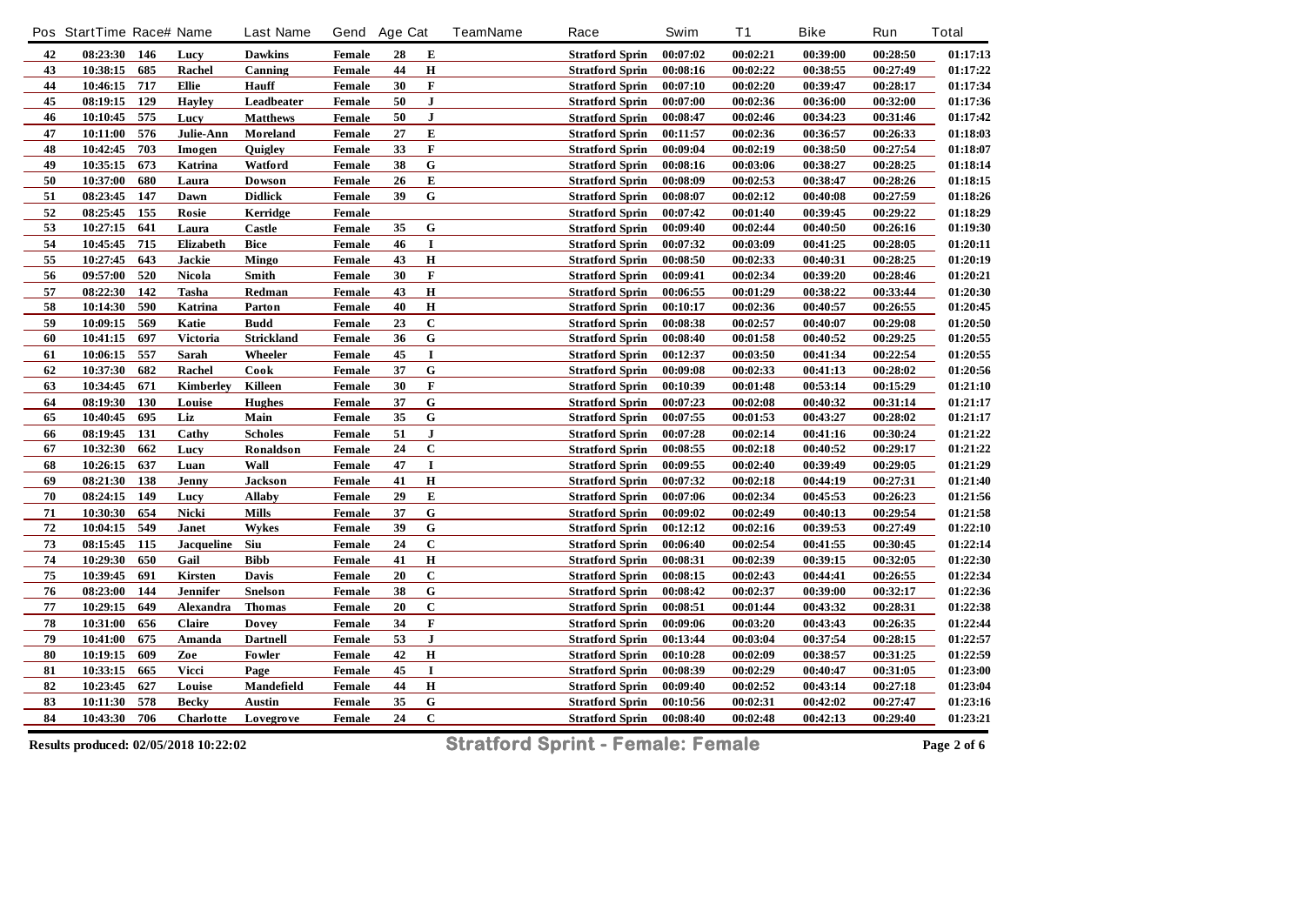|            | Pos StartTime Race# Name |                   | <b>Last Name</b> | Gend Age Cat  |    |                | <b>TeamName</b> | Race                   | Swim     | <b>T1</b> | <b>Bike</b> | Run      | <b>Total</b> |
|------------|--------------------------|-------------------|------------------|---------------|----|----------------|-----------------|------------------------|----------|-----------|-------------|----------|--------------|
| 42         | 08:23:30 146             | Lucy              | <b>Dawkins</b>   | Female        | 28 | Е              |                 | <b>Stratford Sprin</b> | 00:07:02 | 00:02:21  | 00:39:00    | 00:28:50 | 01:17:13     |
| 43         | 685<br>10:38:15          | Rachel            | Canning          | Female        | 44 | $\mathbf H$    |                 | <b>Stratford Sprin</b> | 00:08:16 | 00:02:22  | 00:38:55    | 00:27:49 | 01:17:22     |
| $\bf{44}$  | 717<br>10:46:15          | Ellie             | Hauff            | Female        | 30 | $\mathbf F$    |                 | <b>Stratford Sprin</b> | 00:07:10 | 00:02:20  | 00:39:47    | 00:28:17 | 01:17:34     |
| $\bf 45$   | 08:19:15<br>129          | <b>Havley</b>     | Leadbeater       | Female        | 50 | $\mathbf{J}$   |                 | <b>Stratford Sprin</b> | 00:07:00 | 00:02:36  | 00:36:00    | 00:32:00 | 01:17:36     |
| 46         | 575<br>10:10:45          | Lucy              | <b>Matthews</b>  | Female        | 50 | ${\bf J}$      |                 | <b>Stratford Sprin</b> | 00:08:47 | 00:02:46  | 00:34:23    | 00:31:46 | 01:17:42     |
| $\bf 47$   | 576<br>10:11:00          | Julie-Ann         | Moreland         | <b>Female</b> | 27 | ${\bf E}$      |                 | <b>Stratford Sprin</b> | 00:11:57 | 00:02:36  | 00:36:57    | 00:26:33 | 01:18:03     |
| 48         | 703<br>10:42:45          | Imogen            | Quigley          | Female        | 33 | F              |                 | <b>Stratford Sprin</b> | 00:09:04 | 00:02:19  | 00:38:50    | 00:27:54 | 01:18:07     |
| 49         | 10:35:15<br>673          | Katrina           | Watford          | <b>Female</b> | 38 | $\bf G$        |                 | <b>Stratford Sprin</b> | 00:08:16 | 00:03:06  | 00:38:27    | 00:28:25 | 01:18:14     |
| 50         | 680<br>10:37:00          | Laura             | Dowson           | Female        | 26 | E              |                 | <b>Stratford Sprin</b> | 00:08:09 | 00:02:53  | 00:38:47    | 00:28:26 | 01:18:15     |
| 51         | 08:23:45 147             | Dawn              | <b>Didlick</b>   | Female        | 39 | ${\bf G}$      |                 | <b>Stratford Sprin</b> | 00:08:07 | 00:02:12  | 00:40:08    | 00:27:59 | 01:18:26     |
| $52\,$     | 155<br>08:25:45          | Rosie             | Kerridge         | Female        |    |                |                 | <b>Stratford Sprin</b> | 00:07:42 | 00:01:40  | 00:39:45    | 00:29:22 | 01:18:29     |
| 53         | 641<br>10:27:15          | Laura             | <b>Castle</b>    | <b>Female</b> | 35 | G              |                 | <b>Stratford Sprin</b> | 00:09:40 | 00:02:44  | 00:40:50    | 00:26:16 | 01:19:30     |
| 54         | 10:45:45<br>715          | Elizabeth         | Bice             | Female        | 46 | 1              |                 | <b>Stratford Sprin</b> | 00:07:32 | 00:03:09  | 00:41:25    | 00:28:05 | 01:20:11     |
| 55         | 643<br>10:27:45          | Jackie            | <b>Mingo</b>     | Female        | 43 | $\bf H$        |                 | <b>Stratford Sprin</b> | 00:08:50 | 00:02:33  | 00:40:31    | 00:28:25 | 01:20:19     |
| 56         | 09:57:00<br>520          | Nicola            | Smith            | Female        | 30 | $\mathbf F$    |                 | <b>Stratford Sprin</b> | 00:09:41 | 00:02:34  | 00:39:20    | 00:28:46 | 01:20:21     |
| 57         | 08:22:30<br>142          | Tasha             | Redman           | <b>Female</b> | 43 | $\bf H$        |                 | <b>Stratford Sprin</b> | 00:06:55 | 00:01:29  | 00:38:22    | 00:33:44 | 01:20:30     |
| 58         | 590<br>10:14:30          | Katrina           | Parton           | Female        | 40 | $\mathbf H$    |                 | <b>Stratford Sprin</b> | 00:10:17 | 00:02:36  | 00:40:57    | 00:26:55 | 01:20:45     |
| 59         | 569<br>10:09:15          | Katie             | <b>Budd</b>      | <b>Female</b> | 23 | $\mathbf C$    |                 | <b>Stratford Sprin</b> | 00:08:38 | 00:02:57  | 00:40:07    | 00:29:08 | 01:20:50     |
| 60         | 697<br>10:41:15          | Victoria          | Strickland       | <b>Female</b> | 36 | G              |                 | <b>Stratford Sprin</b> | 00:08:40 | 00:01:58  | 00:40:52    | 00:29:25 | 01:20:55     |
| 61         | 10:06:15<br>557          | Sarah             | Wheeler          | Female        | 45 | $\mathbf I$    |                 | <b>Stratford Sprin</b> | 00:12:37 | 00:03:50  | 00:41:34    | 00:22:54 | 01:20:55     |
| 62         | 682<br>10:37:30          | Rachel            | Cook             | Female        | 37 | $\overline{G}$ |                 | <b>Stratford Sprin</b> | 00:09:08 | 00:02:33  | 00:41:13    | 00:28:02 | 01:20:56     |
| 63         | 10:34:45<br>671          | <b>Kimberley</b>  | Killeen          | Female        | 30 | F              |                 | <b>Stratford Sprin</b> | 00:10:39 | 00:01:48  | 00:53:14    | 00:15:29 | 01:21:10     |
| 64         | 08:19:30<br>130          | Louise            | <b>Hughes</b>    | <b>Female</b> | 37 | ${\bf G}$      |                 | <b>Stratford Sprin</b> | 00:07:23 | 00:02:08  | 00:40:32    | 00:31:14 | 01:21:17     |
| 65         | 695<br>10:40:45          | Liz               | Main             | <b>Female</b> | 35 | G              |                 | <b>Stratford Sprin</b> | 00:07:55 | 00:01:53  | 00:43:27    | 00:28:02 | 01:21:17     |
| 66         | 08:19:45<br>131          | Cathy             | <b>Scholes</b>   | Female        | 51 | ${\bf J}$      |                 | <b>Stratford Sprin</b> | 00:07:28 | 00:02:14  | 00:41:16    | 00:30:24 | 01:21:22     |
| 67         | 10:32:30<br>662          | Lucy              | Ronaldson        | Female        | 24 | $\bf C$        |                 | Stratford Sprin        | 00:08:55 | 00:02:18  | 00:40:52    | 00:29:17 | 01:21:22     |
| 68         | 637<br>10:26:15          | Luan              | Wall             | <b>Female</b> | 47 | $\bf{I}$       |                 | <b>Stratford Sprin</b> | 00:09:55 | 00:02:40  | 00:39:49    | 00:29:05 | 01:21:29     |
| 69         | 08:21:30<br>138          | Jenny             | Jackson          | Female        | 41 | $\bf H$        |                 | <b>Stratford Sprin</b> | 00:07:32 | 00:02:18  | 00:44:19    | 00:27:31 | 01:21:40     |
| ${\bf 70}$ | 08:24:15<br>149          | Lucy              | <b>Allaby</b>    | Female        | 29 | ${\bf E}$      |                 | <b>Stratford Sprin</b> | 00:07:06 | 00:02:34  | 00:45:53    | 00:26:23 | 01:21:56     |
| 71         | 10:30:30<br>654          | Nicki             | <b>Mills</b>     | Female        | 37 | G              |                 | <b>Stratford Sprin</b> | 00:09:02 | 00:02:49  | 00:40:13    | 00:29:54 | 01:21:58     |
| 72         | 10:04:15<br>549          | Janet             | Wykes            | <b>Female</b> | 39 | ${\bf G}$      |                 | <b>Stratford Sprin</b> | 00:12:12 | 00:02:16  | 00:39:53    | 00:27:49 | 01:22:10     |
| 73         | 115<br>08:15:45          | <b>Jacqueline</b> | Siu              | Female        | 24 | $\mathbf C$    |                 | <b>Stratford Sprin</b> | 00:06:40 | 00:02:54  | 00:41:55    | 00:30:45 | 01:22:14     |
| ${\bf 74}$ | 650<br>10:29:30          | Gail              | <b>Bibb</b>      | Female        | 41 | Н              |                 | <b>Stratford Sprin</b> | 00:08:31 | 00:02:39  | 00:39:15    | 00:32:05 | 01:22:30     |
| 75         | 691<br>10:39:45          | Kirsten           | Davis            | <b>Female</b> | 20 | $\mathbf C$    |                 | <b>Stratford Sprin</b> | 00:08:15 | 00:02:43  | 00:44:41    | 00:26:55 | 01:22:34     |
| 76         | 08:23:00<br>144          | <b>Jennifer</b>   | Snelson          | <b>Female</b> | 38 | ${\bf G}$      |                 | <b>Stratford Sprin</b> | 00:08:42 | 00:02:37  | 00:39:00    | 00:32:17 | 01:22:36     |
| 77         | 649<br>10:29:15          | Alexandra         | <b>Thomas</b>    | <b>Female</b> | 20 | $\mathbf C$    |                 | <b>Stratford Sprin</b> | 00:08:51 | 00:01:44  | 00:43:32    | 00:28:31 | 01:22:38     |
| 78         | 10:31:00<br>656          | Claire            | Dovey            | Female        | 34 | F              |                 | <b>Stratford Sprin</b> | 00:09:06 | 00:03:20  | 00:43:43    | 00:26:35 | 01:22:44     |
| 79         | 10:41:00<br>675          | Amanda            | <b>Dartnell</b>  | Female        | 53 | ${\bf J}$      |                 | <b>Stratford Sprin</b> | 00:13:44 | 00:03:04  | 00:37:54    | 00:28:15 | 01:22:57     |
| 80         | 10:19:15<br>609          | Zoe               | Fowler           | Female        | 42 | $\bf H$        |                 | <b>Stratford Sprin</b> | 00:10:28 | 00:02:09  | 00:38:57    | 00:31:25 | 01:22:59     |
| 81         | 10:33:15<br>665          | <b>Vicci</b>      | Page             | Female        | 45 | $\mathbf I$    |                 | <b>Stratford Sprin</b> | 00:08:39 | 00:02:29  | 00:40:47    | 00:31:05 | 01:23:00     |
| 82         | 627<br>10:23:45          | Louise            | Mandefield       | <b>Female</b> | 44 | $\, {\bf H}$   |                 | <b>Stratford Sprin</b> | 00:09:40 | 00:02:52  | 00:43:14    | 00:27:18 | 01:23:04     |
| 83         | 578<br>10:11:30          | <b>Becky</b>      | <b>Austin</b>    | <b>Female</b> | 35 | G              |                 | <b>Stratford Sprin</b> | 00:10:56 | 00:02:31  | 00:42:02    | 00:27:47 | 01:23:16     |
| 84         | 706<br>10:43:30          | Charlotte         | Lovegrove        | Female        | 24 | $\overline{C}$ |                 | <b>Stratford Sprin</b> | 00:08:40 | 00:02:48  | 00:42:13    | 00:29:40 | 01:23:21     |
|            |                          |                   |                  |               |    |                |                 |                        |          |           |             |          |              |

**Results produced: 02/05/2018 10:22:02 Stratford Sprint - Female: Female Page 2 of 6**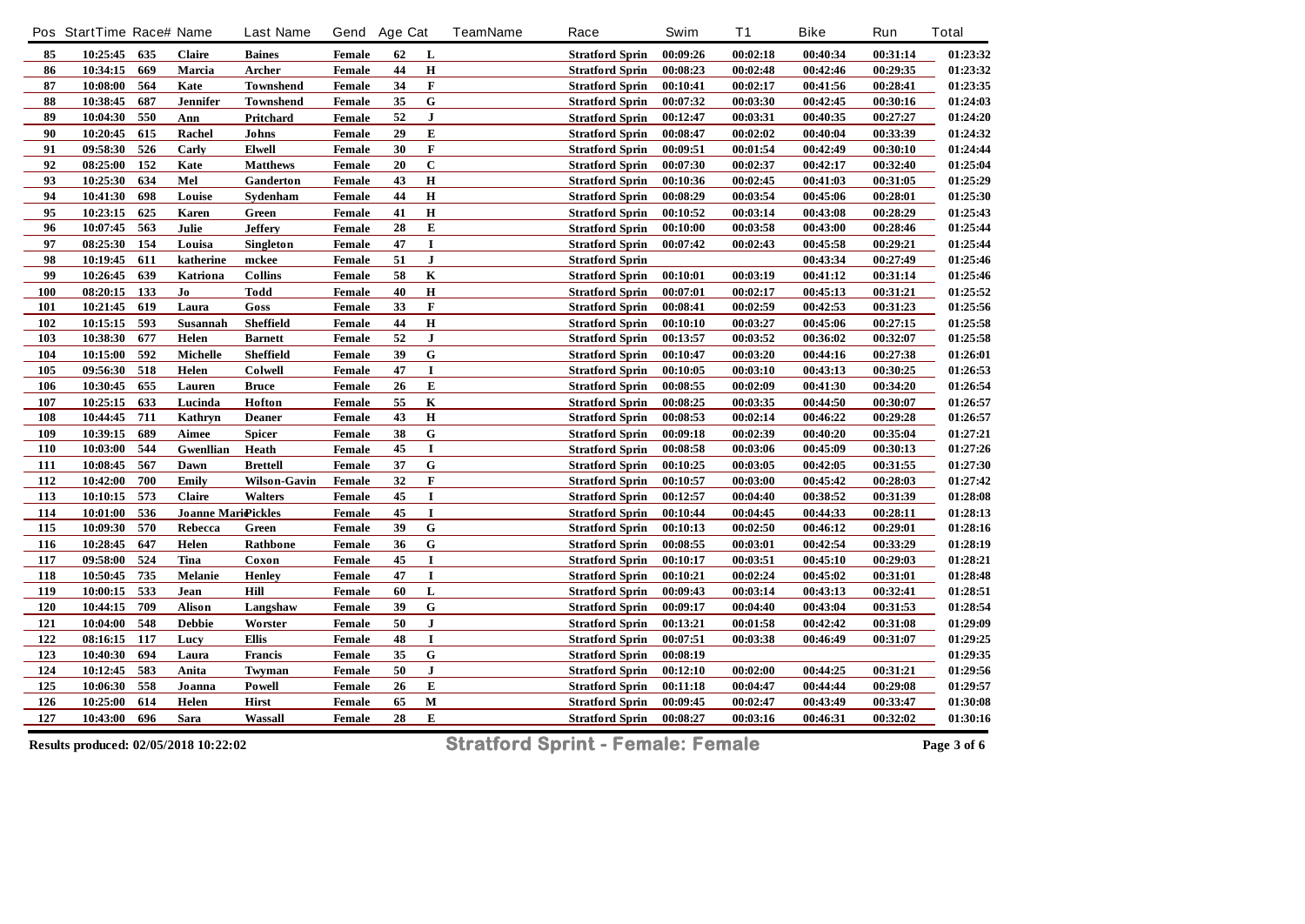|            | Pos StartTime Race# Name |     |                           | <b>Last Name</b>    | Gend Age Cat  |    |                | <b>TeamName</b> | Race                   | Swim     | <b>T1</b> | <b>Bike</b> | Run      | <b>Total</b> |
|------------|--------------------------|-----|---------------------------|---------------------|---------------|----|----------------|-----------------|------------------------|----------|-----------|-------------|----------|--------------|
| 85         | 10:25:45 635             |     | <b>Claire</b>             | <b>Baines</b>       | Female        | 62 | L              |                 | <b>Stratford Sprin</b> | 00:09:26 | 00:02:18  | 00:40:34    | 00:31:14 | 01:23:32     |
| 86         | 10:34:15                 | 669 | Marcia                    | Archer              | <b>Female</b> | 44 | $\bf H$        |                 | <b>Stratford Sprin</b> | 00:08:23 | 00:02:48  | 00:42:46    | 00:29:35 | 01:23:32     |
| 87         | 10:08:00                 | 564 | Kate                      | <b>Townshend</b>    | Female        | 34 | $\mathbf F$    |                 | <b>Stratford Sprin</b> | 00:10:41 | 00:02:17  | 00:41:56    | 00:28:41 | 01:23:35     |
| 88         | 10:38:45                 | 687 | <b>Jennifer</b>           | <b>Townshend</b>    | Female        | 35 | ${\bf G}$      |                 | <b>Stratford Sprin</b> | 00:07:32 | 00:03:30  | 00:42:45    | 00:30:16 | 01:24:03     |
| 89         | 10:04:30                 | 550 | Ann                       | Pritchard           | Female        | 52 | $\mathbf{J}$   |                 | <b>Stratford Sprin</b> | 00:12:47 | 00:03:31  | 00:40:35    | 00:27:27 | 01:24:20     |
| 90         | 10:20:45                 | 615 | Rachel                    | Johns               | Female        | 29 | ${\bf E}$      |                 | <b>Stratford Sprin</b> | 00:08:47 | 00:02:02  | 00:40:04    | 00:33:39 | 01:24:32     |
| 91         | 09:58:30                 | 526 | Carly                     | Elwell              | Female        | 30 | F              |                 | <b>Stratford Sprin</b> | 00:09:51 | 00:01:54  | 00:42:49    | 00:30:10 | 01:24:44     |
| 92         | 08:25:00                 | 152 | Kate                      | <b>Matthews</b>     | <b>Female</b> | 20 | $\mathbf C$    |                 | <b>Stratford Sprin</b> | 00:07:30 | 00:02:37  | 00:42:17    | 00:32:40 | 01:25:04     |
| 93         | 10:25:30                 | 634 | Mel                       | Ganderton           | Female        | 43 | $\bf H$        |                 | <b>Stratford Sprin</b> | 00:10:36 | 00:02:45  | 00:41:03    | 00:31:05 | 01:25:29     |
| 94         | 10:41:30                 | 698 | Louise                    | Sydenham            | <b>Female</b> | 44 | $\mathbf H$    |                 | <b>Stratford Sprin</b> | 00:08:29 | 00:03:54  | 00:45:06    | 00:28:01 | 01:25:30     |
| 95         | 10:23:15                 | 625 | Karen                     | Green               | <b>Female</b> | 41 | $\bf H$        |                 | <b>Stratford Sprin</b> | 00:10:52 | 00:03:14  | 00:43:08    | 00:28:29 | 01:25:43     |
| 96         | 10:07:45                 | 563 | Julie                     | <b>Jeffery</b>      | Female        | 28 | E              |                 | <b>Stratford Sprin</b> | 00:10:00 | 00:03:58  | 00:43:00    | 00:28:46 | 01:25:44     |
| 97         | 08:25:30 154             |     | Louisa                    | <b>Singleton</b>    | <b>Female</b> | 47 | $\mathbf I$    |                 | <b>Stratford Sprin</b> | 00:07:42 | 00:02:43  | 00:45:58    | 00:29:21 | 01:25:44     |
| 98         | 10:19:45                 | 611 | katherine                 | mckee               | Female        | 51 | $\bf J$        |                 | <b>Stratford Sprin</b> |          |           | 00:43:34    | 00:27:49 | 01:25:46     |
| 99         | 10:26:45                 | 639 | Katriona                  | <b>Collins</b>      | Female        | 58 | $\bf K$        |                 | <b>Stratford Sprin</b> | 00:10:01 | 00:03:19  | 00:41:12    | 00:31:14 | 01:25:46     |
| 100        | 08:20:15 133             |     | Jo                        | Todd                | Female        | 40 | $\mathbf H$    |                 | <b>Stratford Sprin</b> | 00:07:01 | 00:02:17  | 00:45:13    | 00:31:21 | 01:25:52     |
| 101        | 10:21:45                 | 619 | Laura                     | Goss                | Female        | 33 | $\mathbf F$    |                 | <b>Stratford Sprin</b> | 00:08:41 | 00:02:59  | 00:42:53    | 00:31:23 | 01:25:56     |
| 102        | 10:15:15                 | 593 | Susannah                  | Sheffield           | Female        | 44 | $\bf H$        |                 | <b>Stratford Sprin</b> | 00:10:10 | 00:03:27  | 00:45:06    | 00:27:15 | 01:25:58     |
| 103        | 10:38:30                 | 677 | Helen                     | <b>Barnett</b>      | Female        | 52 | $\bf J$        |                 | <b>Stratford Sprin</b> | 00:13:57 | 00:03:52  | 00:36:02    | 00:32:07 | 01:25:58     |
| 104        | 10:15:00                 | 592 | <b>Michelle</b>           | Sheffield           | Female        | 39 | G              |                 | <b>Stratford Sprin</b> | 00:10:47 | 00:03:20  | 00:44:16    | 00:27:38 | 01:26:01     |
| 105        | 09:56:30                 | 518 | Helen                     | Colwell             | <b>Female</b> | 47 | $\bf I$        |                 | <b>Stratford Sprin</b> | 00:10:05 | 00:03:10  | 00:43:13    | 00:30:25 | 01:26:53     |
| 106        | 10:30:45                 | 655 | Lauren                    | <b>Bruce</b>        | Female        | 26 | ${\bf E}$      |                 | <b>Stratford Sprin</b> | 00:08:55 | 00:02:09  | 00:41:30    | 00:34:20 | 01:26:54     |
| 107        | 10:25:15                 | 633 | Lucinda                   | Hofton              | Female        | 55 | $\bf K$        |                 | <b>Stratford Sprin</b> | 00:08:25 | 00:03:35  | 00:44:50    | 00:30:07 | 01:26:57     |
| 108        | 10:44:45                 | 711 | Kathryn                   | <b>Deaner</b>       | Female        | 43 | $\bf H$        |                 | <b>Stratford Sprin</b> | 00:08:53 | 00:02:14  | 00:46:22    | 00:29:28 | 01:26:57     |
| 109        | 10:39:15                 | 689 | Aimee                     | <b>Spicer</b>       | Female        | 38 | ${\bf G}$      |                 | <b>Stratford Sprin</b> | 00:09:18 | 00:02:39  | 00:40:20    | 00:35:04 | 01:27:21     |
| 110        | 10:03:00                 | 544 | <b>Gwenllian</b>          | Heath               | Female        | 45 | $\mathbf I$    |                 | <b>Stratford Sprin</b> | 00:08:58 | 00:03:06  | 00:45:09    | 00:30:13 | 01:27:26     |
| 111        | 10:08:45                 | 567 | Dawn                      | <b>Brettell</b>     | <b>Female</b> | 37 | $\overline{G}$ |                 | <b>Stratford Sprin</b> | 00:10:25 | 00:03:05  | 00:42:05    | 00:31:55 | 01:27:30     |
| 112        | 10:42:00                 | 700 | Emily                     | <b>Wilson-Gavin</b> | Female        | 32 | $\mathbf F$    |                 | <b>Stratford Sprin</b> | 00:10:57 | 00:03:00  | 00:45:42    | 00:28:03 | 01:27:42     |
| 113        | 10:10:15                 | 573 | <b>Claire</b>             | Walters             | Female        | 45 | $\mathbf I$    |                 | <b>Stratford Sprin</b> | 00:12:57 | 00:04:40  | 00:38:52    | 00:31:39 | 01:28:08     |
| 114        | 10:01:00                 | 536 | <b>Joanne Mari@ickles</b> |                     | Female        | 45 | $\bf{I}$       |                 | <b>Stratford Sprin</b> | 00:10:44 | 00:04:45  | 00:44:33    | 00:28:11 | 01:28:13     |
| 115        | 10:09:30                 | 570 | Rebecca                   | Green               | Female        | 39 | ${\bf G}$      |                 | <b>Stratford Sprin</b> | 00:10:13 | 00:02:50  | 00:46:12    | 00:29:01 | 01:28:16     |
| 116        | 10:28:45                 | 647 | Helen                     | Rathbone            | Female        | 36 | $\mathbf G$    |                 | <b>Stratford Sprin</b> | 00:08:55 | 00:03:01  | 00:42:54    | 00:33:29 | 01:28:19     |
| 117        | 09:58:00                 | 524 | Tina                      | Coxon               | <b>Female</b> | 45 | $\bf{I}$       |                 | <b>Stratford Sprin</b> | 00:10:17 | 00:03:51  | 00:45:10    | 00:29:03 | 01:28:21     |
| 118        | 10:50:45                 | 735 | Melanie                   | <b>Henley</b>       | <b>Female</b> | 47 | $\mathbf I$    |                 | <b>Stratford Sprin</b> | 00:10:21 | 00:02:24  | 00:45:02    | 00:31:01 | 01:28:48     |
| <u>119</u> | 10:00:15                 | 533 | Jean                      | Hill                | Female        | 60 | L              |                 | <b>Stratford Sprin</b> | 00:09:43 | 00:03:14  | 00:43:13    | 00:32:41 | 01:28:51     |
| 120        | 10:44:15                 | 709 | <b>Alison</b>             | Langshaw            | Female        | 39 | ${\bf G}$      |                 | <b>Stratford Sprin</b> | 00:09:17 | 00:04:40  | 00:43:04    | 00:31:53 | 01:28:54     |
| 121        | 10:04:00                 | 548 | <b>Debbie</b>             | Worster             | Female        | 50 | ${\bf J}$      |                 | <b>Stratford Sprin</b> | 00:13:21 | 00:01:58  | 00:42:42    | 00:31:08 | 01:29:09     |
| 122        | 08:16:15 117             |     | Lucy                      | Ellis               | Female        | 48 | $\mathbf I$    |                 | <b>Stratford Sprin</b> | 00:07:51 | 00:03:38  | 00:46:49    | 00:31:07 | 01:29:25     |
| 123        | 10:40:30                 | 694 | Laura                     | Francis             | Female        | 35 | ${\bf G}$      |                 | <b>Stratford Sprin</b> | 00:08:19 |           |             |          | 01:29:35     |
| 124        | 10:12:45                 | 583 | Anita                     | Twyman              | Female        | 50 | ${\bf J}$      |                 | <b>Stratford Sprin</b> | 00:12:10 | 00:02:00  | 00:44:25    | 00:31:21 | 01:29:56     |
| 125        | 10:06:30                 | 558 | Joanna                    | Powell              | Female        | 26 | ${\bf E}$      |                 | <b>Stratford Sprin</b> | 00:11:18 | 00:04:47  | 00:44:44    | 00:29:08 | 01:29:57     |
| 126        | 10:25:00                 | 614 | Helen                     | Hirst               | <b>Female</b> | 65 | $\mathbf M$    |                 | <b>Stratford Sprin</b> | 00:09:45 | 00:02:47  | 00:43:49    | 00:33:47 | 01:30:08     |
| 127        | 10:43:00                 | 696 | Sara                      | Wassall             | Female        | 28 | ${\bf E}$      |                 | <b>Stratford Sprin</b> | 00:08:27 | 00:03:16  | 00:46:31    | 00:32:02 | 01:30:16     |

**Results produced: 02/05/2018 10:22:02 Stratford Sprint - Female: Female Page 3 of 6**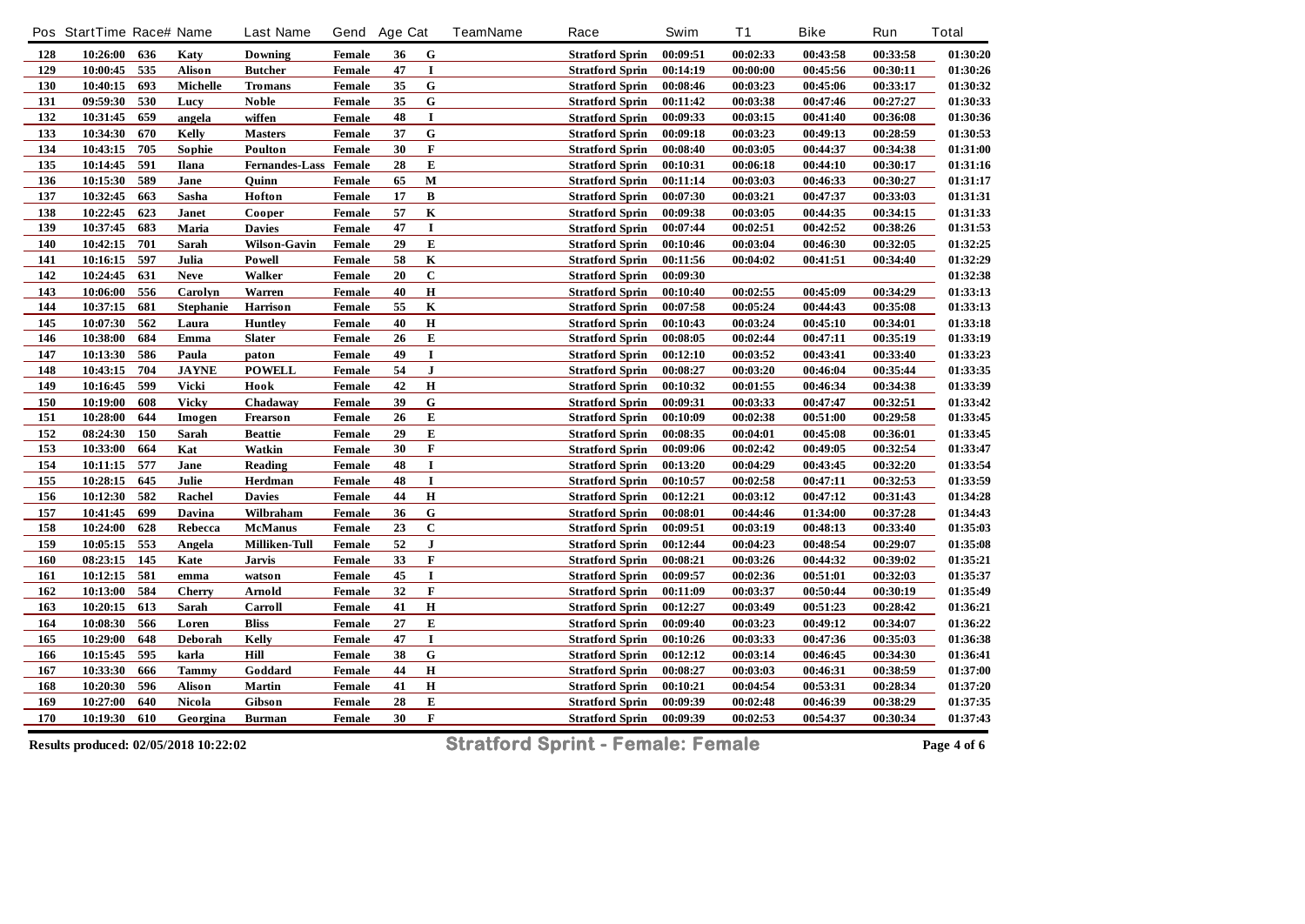| 00:09:51<br>00:02:33<br>00:43:58<br>128<br>10:26:00<br>636<br>Katy<br>Downing<br>Female<br>G<br><b>Stratford Sprin</b><br>36<br>129<br>10:00:45<br>535<br>47<br><b>Alison</b><br>$\mathbf I$<br>00:14:19<br>00:00:00<br>00:45:56<br><b>Butcher</b><br>Female<br><b>Stratford Sprin</b><br>G<br>130<br>10:40:15<br>693<br><b>Michelle</b><br>35<br>00:08:46<br>00:03:23<br>00:45:06<br><b>Tromans</b><br>Female<br><b>Stratford Sprin</b><br>131<br>${\bf G}$<br>09:59:30<br>530<br>35<br>Lucy<br><b>Noble</b><br>Female<br><b>Stratford Sprin</b><br>00:11:42<br>00:03:38<br>00:47:46<br>132<br>659<br>48<br>$\mathbf I$<br>10:31:45<br>00:09:33<br>angela<br>wiffen<br><b>Female</b><br><b>Stratford Sprin</b><br>00:03:15<br>00:41:40<br>G<br>133<br>37<br>10:34:30<br>670<br>Kelly<br>00:09:18<br>00:03:23<br>00:49:13<br><b>Masters</b><br>Female<br><b>Stratford Sprin</b><br>F<br>134<br>30<br>10:43:15<br>705<br>Sophie<br>00:03:05<br>00:44:37<br>Poulton<br><b>Female</b><br><b>Stratford Sprin</b><br>00:08:40<br>135<br>${\bf E}$<br>591<br>10:14:45<br><b>Ilana</b><br><b>Fernandes-Lass Female</b><br>28<br>00:10:31<br>00:06:18<br>00:44:10<br><b>Stratford Sprin</b><br>136<br>589<br>65<br>$\mathbf M$<br>10:15:30<br>00:46:33<br>Jane<br>Quinn<br>Female<br><b>Stratford Sprin</b><br>00:11:14<br>00:03:03<br>137<br>10:32:45<br>663<br>B<br>Sasha<br>Female<br>17<br><b>Stratford Sprin</b><br>00:07:30<br>00:03:21<br>00:47:37<br>Hofton<br>138<br>$\mathbf K$<br>10:22:45<br>623<br>57<br>Janet<br><b>Stratford Sprin</b><br>00:09:38<br>00:03:05<br>00:44:35<br>Cooper<br><b>Female</b><br>139<br>683<br>47<br>$\mathbf I$<br>10:37:45<br>00:07:44<br>00:42:52<br>Maria<br><b>Davies</b><br>Female<br><b>Stratford Sprin</b><br>00:02:51<br>140<br>${\bf E}$<br>10:42:15<br>701<br>29<br>Sarah<br><b>Wilson-Gavin</b><br><b>Stratford Sprin</b><br>00:10:46<br>00:03:04<br>00:46:30<br><b>Female</b><br>141<br>$\bf K$<br>10:16:15<br>597<br>Julia<br>58<br>Powell<br>Female<br>00:11:56<br>00:04:02<br>00:41:51<br><b>Stratford Sprin</b><br>142<br>$\mathbf C$<br>631<br>20<br>10:24:45<br>00:09:30<br><b>Neve</b><br>Walker<br>Female<br><b>Stratford Sprin</b><br>143<br>$\mathbf H$<br>10:06:00<br>556<br>40<br>00:45:09<br>Carolyn<br>Warren<br>Female<br><b>Stratford Sprin</b><br>00:10:40<br>00:02:55<br>$\mathbf K$<br>144<br>681<br>55<br>10:37:15<br><b>Stephanie</b><br><b>Harrison</b><br>Female<br><b>Stratford Sprin</b><br>00:07:58<br>00:05:24<br>00:44:43<br>145<br>562<br>$\bf H$<br>10:07:30<br>40<br>00:10:43<br>00:45:10<br>Laura<br><b>Huntley</b><br>Female<br><b>Stratford Sprin</b><br>00:03:24<br>146<br>${\bf E}$<br>10:38:00<br>684<br>00:08:05<br>00:47:11<br>Emma<br><b>Slater</b><br>Female<br>26<br><b>Stratford Sprin</b><br>00:02:44 | 00:33:58<br>00:30:11<br>00:33:17<br>00:27:27<br>00:36:08<br>00:28:59<br>00:34:38<br>00:30:17<br>00:30:27<br>00:33:03<br>00:34:15 | 01:30:20<br>01:30:26<br>01:30:32<br>01:30:33<br>01:30:36<br>01:30:53<br>01:31:00<br>01:31:16<br>01:31:17 |
|-----------------------------------------------------------------------------------------------------------------------------------------------------------------------------------------------------------------------------------------------------------------------------------------------------------------------------------------------------------------------------------------------------------------------------------------------------------------------------------------------------------------------------------------------------------------------------------------------------------------------------------------------------------------------------------------------------------------------------------------------------------------------------------------------------------------------------------------------------------------------------------------------------------------------------------------------------------------------------------------------------------------------------------------------------------------------------------------------------------------------------------------------------------------------------------------------------------------------------------------------------------------------------------------------------------------------------------------------------------------------------------------------------------------------------------------------------------------------------------------------------------------------------------------------------------------------------------------------------------------------------------------------------------------------------------------------------------------------------------------------------------------------------------------------------------------------------------------------------------------------------------------------------------------------------------------------------------------------------------------------------------------------------------------------------------------------------------------------------------------------------------------------------------------------------------------------------------------------------------------------------------------------------------------------------------------------------------------------------------------------------------------------------------------------------------------------------------------------------------------------------------------------------------------------------------------------------------------------------------------------------------------------------------------------------------------------------------------------------------------------------------------------------------------------|----------------------------------------------------------------------------------------------------------------------------------|----------------------------------------------------------------------------------------------------------|
|                                                                                                                                                                                                                                                                                                                                                                                                                                                                                                                                                                                                                                                                                                                                                                                                                                                                                                                                                                                                                                                                                                                                                                                                                                                                                                                                                                                                                                                                                                                                                                                                                                                                                                                                                                                                                                                                                                                                                                                                                                                                                                                                                                                                                                                                                                                                                                                                                                                                                                                                                                                                                                                                                                                                                                                               |                                                                                                                                  |                                                                                                          |
|                                                                                                                                                                                                                                                                                                                                                                                                                                                                                                                                                                                                                                                                                                                                                                                                                                                                                                                                                                                                                                                                                                                                                                                                                                                                                                                                                                                                                                                                                                                                                                                                                                                                                                                                                                                                                                                                                                                                                                                                                                                                                                                                                                                                                                                                                                                                                                                                                                                                                                                                                                                                                                                                                                                                                                                               |                                                                                                                                  |                                                                                                          |
|                                                                                                                                                                                                                                                                                                                                                                                                                                                                                                                                                                                                                                                                                                                                                                                                                                                                                                                                                                                                                                                                                                                                                                                                                                                                                                                                                                                                                                                                                                                                                                                                                                                                                                                                                                                                                                                                                                                                                                                                                                                                                                                                                                                                                                                                                                                                                                                                                                                                                                                                                                                                                                                                                                                                                                                               |                                                                                                                                  |                                                                                                          |
|                                                                                                                                                                                                                                                                                                                                                                                                                                                                                                                                                                                                                                                                                                                                                                                                                                                                                                                                                                                                                                                                                                                                                                                                                                                                                                                                                                                                                                                                                                                                                                                                                                                                                                                                                                                                                                                                                                                                                                                                                                                                                                                                                                                                                                                                                                                                                                                                                                                                                                                                                                                                                                                                                                                                                                                               |                                                                                                                                  |                                                                                                          |
|                                                                                                                                                                                                                                                                                                                                                                                                                                                                                                                                                                                                                                                                                                                                                                                                                                                                                                                                                                                                                                                                                                                                                                                                                                                                                                                                                                                                                                                                                                                                                                                                                                                                                                                                                                                                                                                                                                                                                                                                                                                                                                                                                                                                                                                                                                                                                                                                                                                                                                                                                                                                                                                                                                                                                                                               |                                                                                                                                  |                                                                                                          |
|                                                                                                                                                                                                                                                                                                                                                                                                                                                                                                                                                                                                                                                                                                                                                                                                                                                                                                                                                                                                                                                                                                                                                                                                                                                                                                                                                                                                                                                                                                                                                                                                                                                                                                                                                                                                                                                                                                                                                                                                                                                                                                                                                                                                                                                                                                                                                                                                                                                                                                                                                                                                                                                                                                                                                                                               |                                                                                                                                  |                                                                                                          |
|                                                                                                                                                                                                                                                                                                                                                                                                                                                                                                                                                                                                                                                                                                                                                                                                                                                                                                                                                                                                                                                                                                                                                                                                                                                                                                                                                                                                                                                                                                                                                                                                                                                                                                                                                                                                                                                                                                                                                                                                                                                                                                                                                                                                                                                                                                                                                                                                                                                                                                                                                                                                                                                                                                                                                                                               |                                                                                                                                  |                                                                                                          |
|                                                                                                                                                                                                                                                                                                                                                                                                                                                                                                                                                                                                                                                                                                                                                                                                                                                                                                                                                                                                                                                                                                                                                                                                                                                                                                                                                                                                                                                                                                                                                                                                                                                                                                                                                                                                                                                                                                                                                                                                                                                                                                                                                                                                                                                                                                                                                                                                                                                                                                                                                                                                                                                                                                                                                                                               |                                                                                                                                  |                                                                                                          |
|                                                                                                                                                                                                                                                                                                                                                                                                                                                                                                                                                                                                                                                                                                                                                                                                                                                                                                                                                                                                                                                                                                                                                                                                                                                                                                                                                                                                                                                                                                                                                                                                                                                                                                                                                                                                                                                                                                                                                                                                                                                                                                                                                                                                                                                                                                                                                                                                                                                                                                                                                                                                                                                                                                                                                                                               |                                                                                                                                  |                                                                                                          |
|                                                                                                                                                                                                                                                                                                                                                                                                                                                                                                                                                                                                                                                                                                                                                                                                                                                                                                                                                                                                                                                                                                                                                                                                                                                                                                                                                                                                                                                                                                                                                                                                                                                                                                                                                                                                                                                                                                                                                                                                                                                                                                                                                                                                                                                                                                                                                                                                                                                                                                                                                                                                                                                                                                                                                                                               |                                                                                                                                  | 01:31:31                                                                                                 |
|                                                                                                                                                                                                                                                                                                                                                                                                                                                                                                                                                                                                                                                                                                                                                                                                                                                                                                                                                                                                                                                                                                                                                                                                                                                                                                                                                                                                                                                                                                                                                                                                                                                                                                                                                                                                                                                                                                                                                                                                                                                                                                                                                                                                                                                                                                                                                                                                                                                                                                                                                                                                                                                                                                                                                                                               |                                                                                                                                  | 01:31:33                                                                                                 |
|                                                                                                                                                                                                                                                                                                                                                                                                                                                                                                                                                                                                                                                                                                                                                                                                                                                                                                                                                                                                                                                                                                                                                                                                                                                                                                                                                                                                                                                                                                                                                                                                                                                                                                                                                                                                                                                                                                                                                                                                                                                                                                                                                                                                                                                                                                                                                                                                                                                                                                                                                                                                                                                                                                                                                                                               | 00:38:26                                                                                                                         | 01:31:53                                                                                                 |
|                                                                                                                                                                                                                                                                                                                                                                                                                                                                                                                                                                                                                                                                                                                                                                                                                                                                                                                                                                                                                                                                                                                                                                                                                                                                                                                                                                                                                                                                                                                                                                                                                                                                                                                                                                                                                                                                                                                                                                                                                                                                                                                                                                                                                                                                                                                                                                                                                                                                                                                                                                                                                                                                                                                                                                                               | 00:32:05                                                                                                                         | 01:32:25                                                                                                 |
|                                                                                                                                                                                                                                                                                                                                                                                                                                                                                                                                                                                                                                                                                                                                                                                                                                                                                                                                                                                                                                                                                                                                                                                                                                                                                                                                                                                                                                                                                                                                                                                                                                                                                                                                                                                                                                                                                                                                                                                                                                                                                                                                                                                                                                                                                                                                                                                                                                                                                                                                                                                                                                                                                                                                                                                               | 00:34:40                                                                                                                         | 01:32:29                                                                                                 |
|                                                                                                                                                                                                                                                                                                                                                                                                                                                                                                                                                                                                                                                                                                                                                                                                                                                                                                                                                                                                                                                                                                                                                                                                                                                                                                                                                                                                                                                                                                                                                                                                                                                                                                                                                                                                                                                                                                                                                                                                                                                                                                                                                                                                                                                                                                                                                                                                                                                                                                                                                                                                                                                                                                                                                                                               |                                                                                                                                  | 01:32:38                                                                                                 |
|                                                                                                                                                                                                                                                                                                                                                                                                                                                                                                                                                                                                                                                                                                                                                                                                                                                                                                                                                                                                                                                                                                                                                                                                                                                                                                                                                                                                                                                                                                                                                                                                                                                                                                                                                                                                                                                                                                                                                                                                                                                                                                                                                                                                                                                                                                                                                                                                                                                                                                                                                                                                                                                                                                                                                                                               | 00:34:29                                                                                                                         | 01:33:13                                                                                                 |
|                                                                                                                                                                                                                                                                                                                                                                                                                                                                                                                                                                                                                                                                                                                                                                                                                                                                                                                                                                                                                                                                                                                                                                                                                                                                                                                                                                                                                                                                                                                                                                                                                                                                                                                                                                                                                                                                                                                                                                                                                                                                                                                                                                                                                                                                                                                                                                                                                                                                                                                                                                                                                                                                                                                                                                                               | 00:35:08                                                                                                                         | 01:33:13                                                                                                 |
|                                                                                                                                                                                                                                                                                                                                                                                                                                                                                                                                                                                                                                                                                                                                                                                                                                                                                                                                                                                                                                                                                                                                                                                                                                                                                                                                                                                                                                                                                                                                                                                                                                                                                                                                                                                                                                                                                                                                                                                                                                                                                                                                                                                                                                                                                                                                                                                                                                                                                                                                                                                                                                                                                                                                                                                               | 00:34:01                                                                                                                         | 01:33:18                                                                                                 |
|                                                                                                                                                                                                                                                                                                                                                                                                                                                                                                                                                                                                                                                                                                                                                                                                                                                                                                                                                                                                                                                                                                                                                                                                                                                                                                                                                                                                                                                                                                                                                                                                                                                                                                                                                                                                                                                                                                                                                                                                                                                                                                                                                                                                                                                                                                                                                                                                                                                                                                                                                                                                                                                                                                                                                                                               | 00:35:19                                                                                                                         | 01:33:19                                                                                                 |
| 147<br>$\mathbf I$<br>10:13:30<br>586<br>49<br>00:43:41<br>00:12:10<br>00:03:52<br>Paula<br>Female<br><b>Stratford Sprin</b><br>paton                                                                                                                                                                                                                                                                                                                                                                                                                                                                                                                                                                                                                                                                                                                                                                                                                                                                                                                                                                                                                                                                                                                                                                                                                                                                                                                                                                                                                                                                                                                                                                                                                                                                                                                                                                                                                                                                                                                                                                                                                                                                                                                                                                                                                                                                                                                                                                                                                                                                                                                                                                                                                                                         | 00:33:40                                                                                                                         | 01:33:23                                                                                                 |
| 148<br>54<br>${\bf J}$<br>10:43:15<br>704<br><b>JAYNE</b><br><b>POWELL</b><br>00:08:27<br><b>Female</b><br><b>Stratford Sprin</b><br>00:03:20<br>00:46:04                                                                                                                                                                                                                                                                                                                                                                                                                                                                                                                                                                                                                                                                                                                                                                                                                                                                                                                                                                                                                                                                                                                                                                                                                                                                                                                                                                                                                                                                                                                                                                                                                                                                                                                                                                                                                                                                                                                                                                                                                                                                                                                                                                                                                                                                                                                                                                                                                                                                                                                                                                                                                                     | 00:35:44                                                                                                                         | 01:33:35                                                                                                 |
| <u>149</u><br>10:16:45<br>599<br>Vicki<br>Hook<br>42<br>$\bf H$<br>Female<br><b>Stratford Sprin</b><br>00:10:32<br>00:01:55<br>00:46:34                                                                                                                                                                                                                                                                                                                                                                                                                                                                                                                                                                                                                                                                                                                                                                                                                                                                                                                                                                                                                                                                                                                                                                                                                                                                                                                                                                                                                                                                                                                                                                                                                                                                                                                                                                                                                                                                                                                                                                                                                                                                                                                                                                                                                                                                                                                                                                                                                                                                                                                                                                                                                                                       | 00:34:38                                                                                                                         | 01:33:39                                                                                                 |
| G<br>150<br>608<br><b>Vicky</b><br>39<br>10:19:00<br>Chadaway<br>00:09:31<br>00:03:33<br>00:47:47<br><b>Female</b><br><b>Stratford Sprin</b>                                                                                                                                                                                                                                                                                                                                                                                                                                                                                                                                                                                                                                                                                                                                                                                                                                                                                                                                                                                                                                                                                                                                                                                                                                                                                                                                                                                                                                                                                                                                                                                                                                                                                                                                                                                                                                                                                                                                                                                                                                                                                                                                                                                                                                                                                                                                                                                                                                                                                                                                                                                                                                                  | 00:32:51                                                                                                                         | 01:33:42                                                                                                 |
| ${\bf E}$<br>151<br>10:28:00<br>644<br>26<br>00:10:09<br>00:02:38<br>00:51:00<br>Imogen<br>Frearson<br><b>Female</b><br><b>Stratford Sprin</b>                                                                                                                                                                                                                                                                                                                                                                                                                                                                                                                                                                                                                                                                                                                                                                                                                                                                                                                                                                                                                                                                                                                                                                                                                                                                                                                                                                                                                                                                                                                                                                                                                                                                                                                                                                                                                                                                                                                                                                                                                                                                                                                                                                                                                                                                                                                                                                                                                                                                                                                                                                                                                                                | 00:29:58                                                                                                                         | 01:33:45                                                                                                 |
| 152<br>${\bf E}$<br>150<br>29<br>08:24:30<br>00:08:35<br>00:04:01<br>00:45:08<br>Sarah<br><b>Beattie</b><br>Female<br><b>Stratford Sprin</b>                                                                                                                                                                                                                                                                                                                                                                                                                                                                                                                                                                                                                                                                                                                                                                                                                                                                                                                                                                                                                                                                                                                                                                                                                                                                                                                                                                                                                                                                                                                                                                                                                                                                                                                                                                                                                                                                                                                                                                                                                                                                                                                                                                                                                                                                                                                                                                                                                                                                                                                                                                                                                                                  | 00:36:01                                                                                                                         | 01:33:45                                                                                                 |
| 153<br>$\mathbf F$<br>10:33:00<br>664<br>Kat<br>30<br>00:09:06<br>00:02:42<br>00:49:05<br>Watkin<br><b>Female</b><br><b>Stratford Sprin</b>                                                                                                                                                                                                                                                                                                                                                                                                                                                                                                                                                                                                                                                                                                                                                                                                                                                                                                                                                                                                                                                                                                                                                                                                                                                                                                                                                                                                                                                                                                                                                                                                                                                                                                                                                                                                                                                                                                                                                                                                                                                                                                                                                                                                                                                                                                                                                                                                                                                                                                                                                                                                                                                   | 00:32:54                                                                                                                         | 01:33:47                                                                                                 |
| 154<br>577<br>48<br>$\mathbf I$<br>10:11:15<br>Jane<br>Reading<br>00:13:20<br>00:04:29<br>00:43:45<br><b>Female</b><br><b>Stratford Sprin</b>                                                                                                                                                                                                                                                                                                                                                                                                                                                                                                                                                                                                                                                                                                                                                                                                                                                                                                                                                                                                                                                                                                                                                                                                                                                                                                                                                                                                                                                                                                                                                                                                                                                                                                                                                                                                                                                                                                                                                                                                                                                                                                                                                                                                                                                                                                                                                                                                                                                                                                                                                                                                                                                 | 00:32:20                                                                                                                         | 01:33:54                                                                                                 |
| 155<br>10:28:15<br>645<br>48<br>$\mathbf I$<br>Julie<br>Herdman<br>Female<br><b>Stratford Sprin</b><br>00:10:57<br>00:02:58<br>00:47:11                                                                                                                                                                                                                                                                                                                                                                                                                                                                                                                                                                                                                                                                                                                                                                                                                                                                                                                                                                                                                                                                                                                                                                                                                                                                                                                                                                                                                                                                                                                                                                                                                                                                                                                                                                                                                                                                                                                                                                                                                                                                                                                                                                                                                                                                                                                                                                                                                                                                                                                                                                                                                                                       | 00:32:53                                                                                                                         | 01:33:59                                                                                                 |
| 156<br>582<br>$\bf H$<br>10:12:30<br>44<br>00:12:21<br>00:03:12<br>00:47:12<br>Rachel<br><b>Davies</b><br>Female<br><b>Stratford Sprin</b>                                                                                                                                                                                                                                                                                                                                                                                                                                                                                                                                                                                                                                                                                                                                                                                                                                                                                                                                                                                                                                                                                                                                                                                                                                                                                                                                                                                                                                                                                                                                                                                                                                                                                                                                                                                                                                                                                                                                                                                                                                                                                                                                                                                                                                                                                                                                                                                                                                                                                                                                                                                                                                                    | 00:31:43                                                                                                                         | 01:34:28                                                                                                 |
| 157<br>${\bf G}$<br>10:41:45<br>699<br>36<br>00:08:01<br>00:44:46<br>01:34:00<br>Davina<br>Wilbraham<br><b>Stratford Sprin</b><br>Female                                                                                                                                                                                                                                                                                                                                                                                                                                                                                                                                                                                                                                                                                                                                                                                                                                                                                                                                                                                                                                                                                                                                                                                                                                                                                                                                                                                                                                                                                                                                                                                                                                                                                                                                                                                                                                                                                                                                                                                                                                                                                                                                                                                                                                                                                                                                                                                                                                                                                                                                                                                                                                                      | 00:37:28                                                                                                                         | 01:34:43                                                                                                 |
| 158<br>628<br>$\mathbf C$<br>10:24:00<br>23<br>Rebecca<br><b>McManus</b><br>Female<br><b>Stratford Sprin</b><br>00:09:51<br>00:03:19<br>00:48:13                                                                                                                                                                                                                                                                                                                                                                                                                                                                                                                                                                                                                                                                                                                                                                                                                                                                                                                                                                                                                                                                                                                                                                                                                                                                                                                                                                                                                                                                                                                                                                                                                                                                                                                                                                                                                                                                                                                                                                                                                                                                                                                                                                                                                                                                                                                                                                                                                                                                                                                                                                                                                                              | 00:33:40                                                                                                                         | 01:35:03                                                                                                 |
| 159<br>553<br>52<br>$\mathbf{J}$<br>10:05:15<br>Milliken-Tull<br>00:12:44<br>00:04:23<br>00:48:54<br>Angela<br>Female<br><b>Stratford Sprin</b>                                                                                                                                                                                                                                                                                                                                                                                                                                                                                                                                                                                                                                                                                                                                                                                                                                                                                                                                                                                                                                                                                                                                                                                                                                                                                                                                                                                                                                                                                                                                                                                                                                                                                                                                                                                                                                                                                                                                                                                                                                                                                                                                                                                                                                                                                                                                                                                                                                                                                                                                                                                                                                               | 00:29:07                                                                                                                         | 01:35:08                                                                                                 |
| 160<br>$\mathbf F$<br>08:23:15<br>145<br>Kate<br>33<br><b>Stratford Sprin</b><br>00:08:21<br>00:03:26<br>00:44:32<br>Jarvis<br>Female                                                                                                                                                                                                                                                                                                                                                                                                                                                                                                                                                                                                                                                                                                                                                                                                                                                                                                                                                                                                                                                                                                                                                                                                                                                                                                                                                                                                                                                                                                                                                                                                                                                                                                                                                                                                                                                                                                                                                                                                                                                                                                                                                                                                                                                                                                                                                                                                                                                                                                                                                                                                                                                         | 00:39:02                                                                                                                         | 01:35:21                                                                                                 |
| 161<br>581<br>10:12:15<br>45<br>$\mathbf I$<br>00:02:36<br>00:51:01<br>watson<br>Female<br><b>Stratford Sprin</b><br>00:09:57<br>emma                                                                                                                                                                                                                                                                                                                                                                                                                                                                                                                                                                                                                                                                                                                                                                                                                                                                                                                                                                                                                                                                                                                                                                                                                                                                                                                                                                                                                                                                                                                                                                                                                                                                                                                                                                                                                                                                                                                                                                                                                                                                                                                                                                                                                                                                                                                                                                                                                                                                                                                                                                                                                                                         | 00:32:03                                                                                                                         | 01:35:37                                                                                                 |
| $\mathbf F$<br>162<br>10:13:00<br>584<br><b>Cherry</b><br>32<br>00:11:09<br>00:03:37<br>00:50:44<br>Arnold<br>Female<br><b>Stratford Sprin</b>                                                                                                                                                                                                                                                                                                                                                                                                                                                                                                                                                                                                                                                                                                                                                                                                                                                                                                                                                                                                                                                                                                                                                                                                                                                                                                                                                                                                                                                                                                                                                                                                                                                                                                                                                                                                                                                                                                                                                                                                                                                                                                                                                                                                                                                                                                                                                                                                                                                                                                                                                                                                                                                | 00:30:19                                                                                                                         | 01:35:49                                                                                                 |
| 163<br>$\bf H$<br>41<br>10:20:15<br>613<br>Sarah<br>00:12:27<br>00:51:23<br>Carroll<br><b>Female</b><br><b>Stratford Sprin</b><br>00:03:49                                                                                                                                                                                                                                                                                                                                                                                                                                                                                                                                                                                                                                                                                                                                                                                                                                                                                                                                                                                                                                                                                                                                                                                                                                                                                                                                                                                                                                                                                                                                                                                                                                                                                                                                                                                                                                                                                                                                                                                                                                                                                                                                                                                                                                                                                                                                                                                                                                                                                                                                                                                                                                                    | 00:28:42                                                                                                                         | 01:36:21                                                                                                 |
| 164<br>${\bf E}$<br>10:08:30<br>566<br>27<br>Loren<br><b>Bliss</b><br>Female<br><b>Stratford Sprin</b><br>00:09:40<br>00:03:23<br>00:49:12                                                                                                                                                                                                                                                                                                                                                                                                                                                                                                                                                                                                                                                                                                                                                                                                                                                                                                                                                                                                                                                                                                                                                                                                                                                                                                                                                                                                                                                                                                                                                                                                                                                                                                                                                                                                                                                                                                                                                                                                                                                                                                                                                                                                                                                                                                                                                                                                                                                                                                                                                                                                                                                    | 00:34:07                                                                                                                         | 01:36:22                                                                                                 |
| $\mathbf I$<br>165<br>10:29:00<br>648<br>Deborah<br>47<br>00:10:26<br>00:03:33<br>00:47:36<br><b>Kelly</b><br>Female<br><b>Stratford Sprin</b>                                                                                                                                                                                                                                                                                                                                                                                                                                                                                                                                                                                                                                                                                                                                                                                                                                                                                                                                                                                                                                                                                                                                                                                                                                                                                                                                                                                                                                                                                                                                                                                                                                                                                                                                                                                                                                                                                                                                                                                                                                                                                                                                                                                                                                                                                                                                                                                                                                                                                                                                                                                                                                                | 00:35:03                                                                                                                         | 01:36:38                                                                                                 |
| 166<br>${\bf G}$<br>10:15:45<br>595<br>38<br>karla<br>Hill<br><b>Stratford Sprin</b><br>00:12:12<br>00:03:14<br>00:46:45<br><b>Female</b>                                                                                                                                                                                                                                                                                                                                                                                                                                                                                                                                                                                                                                                                                                                                                                                                                                                                                                                                                                                                                                                                                                                                                                                                                                                                                                                                                                                                                                                                                                                                                                                                                                                                                                                                                                                                                                                                                                                                                                                                                                                                                                                                                                                                                                                                                                                                                                                                                                                                                                                                                                                                                                                     | 00:34:30                                                                                                                         | 01:36:41                                                                                                 |
| $\bf H$<br>167<br>10:33:30<br>666<br><b>Tammy</b><br>44<br>00:08:27<br>Goddard<br><b>Stratford Sprin</b><br>00:03:03<br>00:46:31<br>Female                                                                                                                                                                                                                                                                                                                                                                                                                                                                                                                                                                                                                                                                                                                                                                                                                                                                                                                                                                                                                                                                                                                                                                                                                                                                                                                                                                                                                                                                                                                                                                                                                                                                                                                                                                                                                                                                                                                                                                                                                                                                                                                                                                                                                                                                                                                                                                                                                                                                                                                                                                                                                                                    | 00:38:59                                                                                                                         | 01:37:00                                                                                                 |
| 168<br>$\bf H$<br>596<br>41<br>10:20:30<br>Alison<br>Martin<br>Female<br><b>Stratford Sprin</b><br>00:10:21<br>00:04:54<br>00:53:31                                                                                                                                                                                                                                                                                                                                                                                                                                                                                                                                                                                                                                                                                                                                                                                                                                                                                                                                                                                                                                                                                                                                                                                                                                                                                                                                                                                                                                                                                                                                                                                                                                                                                                                                                                                                                                                                                                                                                                                                                                                                                                                                                                                                                                                                                                                                                                                                                                                                                                                                                                                                                                                           | 00:28:34                                                                                                                         | 01:37:20                                                                                                 |
| 169<br>${\bf E}$<br>10:27:00<br>640<br>28<br>Nicola<br>Gibson<br><b>Stratford Sprin</b><br>00:09:39<br>00:02:48<br>00:46:39<br><b>Female</b>                                                                                                                                                                                                                                                                                                                                                                                                                                                                                                                                                                                                                                                                                                                                                                                                                                                                                                                                                                                                                                                                                                                                                                                                                                                                                                                                                                                                                                                                                                                                                                                                                                                                                                                                                                                                                                                                                                                                                                                                                                                                                                                                                                                                                                                                                                                                                                                                                                                                                                                                                                                                                                                  | 00:38:29                                                                                                                         | 01:37:35                                                                                                 |
| $\mathbf F$<br>170<br>10:19:30<br>610<br>30<br><b>Stratford Sprin</b><br>00:09:39<br>00:02:53<br>00:54:37<br>Georgina<br><b>Burman</b><br><b>Female</b>                                                                                                                                                                                                                                                                                                                                                                                                                                                                                                                                                                                                                                                                                                                                                                                                                                                                                                                                                                                                                                                                                                                                                                                                                                                                                                                                                                                                                                                                                                                                                                                                                                                                                                                                                                                                                                                                                                                                                                                                                                                                                                                                                                                                                                                                                                                                                                                                                                                                                                                                                                                                                                       |                                                                                                                                  |                                                                                                          |

**Results produced: 02/05/2018 10:22:02 Stratford Sprint - Female: Female Page 4 of 6**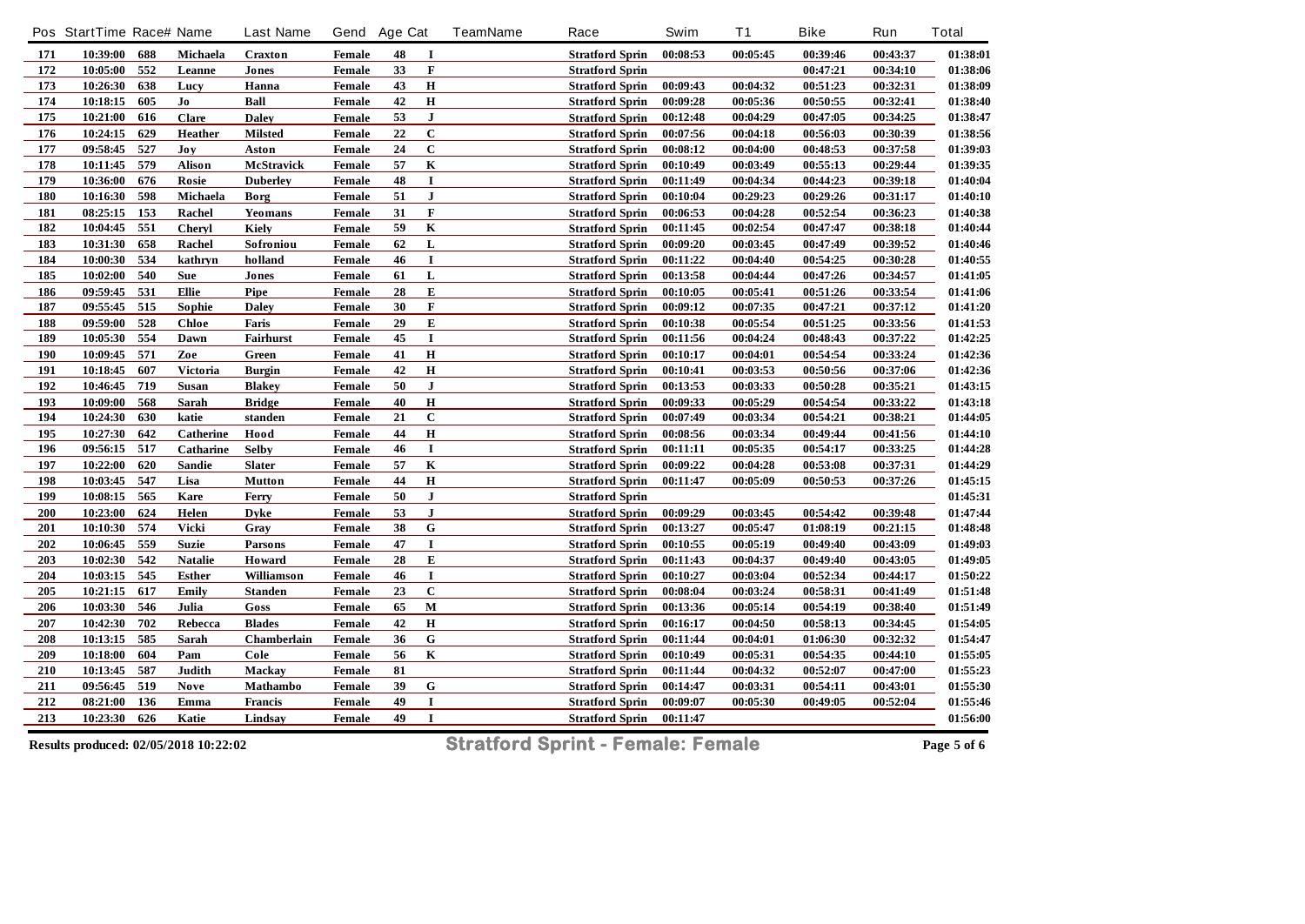|     | Pos StartTime Race# Name |     |                | <b>Last Name</b> | Gend Age Cat  |    |              | <b>TeamName</b> | Race                   | Swim     | <b>T1</b> | <b>Bike</b> | Run      | <b>Total</b> |
|-----|--------------------------|-----|----------------|------------------|---------------|----|--------------|-----------------|------------------------|----------|-----------|-------------|----------|--------------|
| 171 | 10:39:00                 | 688 | Michaela       | Craxton          | Female        | 48 | $\bf{I}$     |                 | <b>Stratford Sprin</b> | 00:08:53 | 00:05:45  | 00:39:46    | 00:43:37 | 01:38:01     |
| 172 | 10:05:00                 | 552 | Leanne         | Jones            | <b>Female</b> | 33 | $\mathbf F$  |                 | <b>Stratford Sprin</b> |          |           | 00:47:21    | 00:34:10 | 01:38:06     |
| 173 | 10:26:30                 | 638 | Lucy           | Hanna            | Female        | 43 | $\bf H$      |                 | <b>Stratford Sprin</b> | 00:09:43 | 00:04:32  | 00:51:23    | 00:32:31 | 01:38:09     |
| 174 | 10:18:15                 | 605 | Jo             | Ball             | Female        | 42 | $\bf H$      |                 | <b>Stratford Sprin</b> | 00:09:28 | 00:05:36  | 00:50:55    | 00:32:41 | 01:38:40     |
| 175 | 10:21:00                 | 616 | <b>Clare</b>   | <b>Daley</b>     | Female        | 53 | $\mathbf{J}$ |                 | <b>Stratford Sprin</b> | 00:12:48 | 00:04:29  | 00:47:05    | 00:34:25 | 01:38:47     |
| 176 | 10:24:15                 | 629 | <b>Heather</b> | <b>Milsted</b>   | Female        | 22 | $\mathbf C$  |                 | <b>Stratford Sprin</b> | 00:07:56 | 00:04:18  | 00:56:03    | 00:30:39 | 01:38:56     |
| 177 | 09:58:45                 | 527 | Joy            | Aston            | Female        | 24 | $\mathbf C$  |                 | <b>Stratford Sprin</b> | 00:08:12 | 00:04:00  | 00:48:53    | 00:37:58 | 01:39:03     |
| 178 | 10:11:45                 | 579 | <b>Alison</b>  | McStravick       | Female        | 57 | $\mathbf K$  |                 | <b>Stratford Sprin</b> | 00:10:49 | 00:03:49  | 00:55:13    | 00:29:44 | 01:39:35     |
| 179 | 10:36:00                 | 676 | Rosie          | <b>Duberley</b>  | <b>Female</b> | 48 | $\mathbf I$  |                 | <b>Stratford Sprin</b> | 00:11:49 | 00:04:34  | 00:44:23    | 00:39:18 | 01:40:04     |
| 180 | 10:16:30                 | 598 | Michaela       | Borg             | Female        | 51 | $\mathbf{J}$ |                 | <b>Stratford Sprin</b> | 00:10:04 | 00:29:23  | 00:29:26    | 00:31:17 | 01:40:10     |
| 181 | 08:25:15                 | 153 | Rachel         | Yeomans          | Female        | 31 | $\mathbf F$  |                 | <b>Stratford Sprin</b> | 00:06:53 | 00:04:28  | 00:52:54    | 00:36:23 | 01:40:38     |
| 182 | 10:04:45                 | 551 | <b>Cheryl</b>  | Kiely            | Female        | 59 | $\bf K$      |                 | <b>Stratford Sprin</b> | 00:11:45 | 00:02:54  | 00:47:47    | 00:38:18 | 01:40:44     |
| 183 | 10:31:30                 | 658 | Rachel         | Sofroniou        | Female        | 62 | L            |                 | <b>Stratford Sprin</b> | 00:09:20 | 00:03:45  | 00:47:49    | 00:39:52 | 01:40:46     |
| 184 | 10:00:30                 | 534 | kathryn        | holland          | Female        | 46 | $\mathbf I$  |                 | <b>Stratford Sprin</b> | 00:11:22 | 00:04:40  | 00:54:25    | 00:30:28 | 01:40:55     |
| 185 | 10:02:00                 | 540 | Sue            | Jones            | Female        | 61 | $\mathbf L$  |                 | <b>Stratford Sprin</b> | 00:13:58 | 00:04:44  | 00:47:26    | 00:34:57 | 01:41:05     |
| 186 | 09:59:45                 | 531 | <b>Ellie</b>   | Pipe             | Female        | 28 | E            |                 | <b>Stratford Sprin</b> | 00:10:05 | 00:05:41  | 00:51:26    | 00:33:54 | 01:41:06     |
| 187 | 09:55:45                 | 515 | Sophie         | <b>Daley</b>     | Female        | 30 | $\mathbf F$  |                 | <b>Stratford Sprin</b> | 00:09:12 | 00:07:35  | 00:47:21    | 00:37:12 | 01:41:20     |
| 188 | 09:59:00                 | 528 | <b>Chloe</b>   | Faris            | Female        | 29 | E            |                 | <b>Stratford Sprin</b> | 00:10:38 | 00:05:54  | 00:51:25    | 00:33:56 | 01:41:53     |
| 189 | 10:05:30                 | 554 | Dawn           | Fairhurst        | <b>Female</b> | 45 | $\mathbf I$  |                 | <b>Stratford Sprin</b> | 00:11:56 | 00:04:24  | 00:48:43    | 00:37:22 | 01:42:25     |
| 190 | 10:09:45                 | 571 | Zoe            | Green            | Female        | 41 | $\bf H$      |                 | <b>Stratford Sprin</b> | 00:10:17 | 00:04:01  | 00:54:54    | 00:33:24 | 01:42:36     |
| 191 | 10:18:45                 | 607 | Victoria       | <b>Burgin</b>    | Female        | 42 | $\bf H$      |                 | <b>Stratford Sprin</b> | 00:10:41 | 00:03:53  | 00:50:56    | 00:37:06 | 01:42:36     |
| 192 | 10:46:45                 | 719 | Susan          | <b>Blakey</b>    | Female        | 50 | ${\bf J}$    |                 | <b>Stratford Sprin</b> | 00:13:53 | 00:03:33  | 00:50:28    | 00:35:21 | 01:43:15     |
| 193 | 10:09:00                 | 568 | Sarah          | <b>Bridge</b>    | <b>Female</b> | 40 | $\mathbf H$  |                 | <b>Stratford Sprin</b> | 00:09:33 | 00:05:29  | 00:54:54    | 00:33:22 | 01:43:18     |
| 194 | 10:24:30                 | 630 | katie          | standen          | Female        | 21 | $\mathbf C$  |                 | <b>Stratford Sprin</b> | 00:07:49 | 00:03:34  | 00:54:21    | 00:38:21 | 01:44:05     |
| 195 | 10:27:30                 | 642 | Catherine      | Hood             | Female        | 44 | $\bf H$      |                 | <b>Stratford Sprin</b> | 00:08:56 | 00:03:34  | 00:49:44    | 00:41:56 | 01:44:10     |
| 196 | 09:56:15                 | 517 | Catharine      | <b>Selby</b>     | Female        | 46 | $\mathbf I$  |                 | <b>Stratford Sprin</b> | 00:11:11 | 00:05:35  | 00:54:17    | 00:33:25 | 01:44:28     |
| 197 | 10:22:00                 | 620 | <b>Sandie</b>  | <b>Slater</b>    | Female        | 57 | $\mathbf K$  |                 | <b>Stratford Sprin</b> | 00:09:22 | 00:04:28  | 00:53:08    | 00:37:31 | 01:44:29     |
| 198 | 10:03:45                 | 547 | Lisa           | <b>Mutton</b>    | Female        | 44 | $\bf H$      |                 | <b>Stratford Sprin</b> | 00:11:47 | 00:05:09  | 00:50:53    | 00:37:26 | 01:45:15     |
| 199 | 10:08:15                 | 565 | Kare           | Ferry            | Female        | 50 | $\bf J$      |                 | <b>Stratford Sprin</b> |          |           |             |          | 01:45:31     |
| 200 | 10:23:00                 | 624 | Helen          | <b>Dyke</b>      | Female        | 53 | $\mathbf{J}$ |                 | <b>Stratford Sprin</b> | 00:09:29 | 00:03:45  | 00:54:42    | 00:39:48 | 01:47:44     |
| 201 | 10:10:30                 | 574 | Vicki          | Gray             | Female        | 38 | ${\bf G}$    |                 | <b>Stratford Sprin</b> | 00:13:27 | 00:05:47  | 01:08:19    | 00:21:15 | 01:48:48     |
| 202 | 10:06:45                 | 559 | <b>Suzie</b>   | <b>Parsons</b>   | Female        | 47 | $\bf{I}$     |                 | <b>Stratford Sprin</b> | 00:10:55 | 00:05:19  | 00:49:40    | 00:43:09 | 01:49:03     |
| 203 | 10:02:30                 | 542 | <b>Natalie</b> | Howard           | Female        | 28 | ${\bf E}$    |                 | <b>Stratford Sprin</b> | 00:11:43 | 00:04:37  | 00:49:40    | 00:43:05 | 01:49:05     |
| 204 | 10:03:15                 | 545 | <b>Esther</b>  | Williamson       | Female        | 46 | $\mathbf I$  |                 | <b>Stratford Sprin</b> | 00:10:27 | 00:03:04  | 00:52:34    | 00:44:17 | 01:50:22     |
| 205 | 10:21:15                 | 617 | Emily          | Standen          | Female        | 23 | $\mathbf C$  |                 | <b>Stratford Sprin</b> | 00:08:04 | 00:03:24  | 00:58:31    | 00:41:49 | 01:51:48     |
| 206 | 10:03:30                 | 546 | Julia          | Goss             | Female        | 65 | $\mathbf M$  |                 | <b>Stratford Sprin</b> | 00:13:36 | 00:05:14  | 00:54:19    | 00:38:40 | 01:51:49     |
| 207 | 10:42:30                 | 702 | Rebecca        | <b>Blades</b>    | Female        | 42 | $\mathbf H$  |                 | <b>Stratford Sprin</b> | 00:16:17 | 00:04:50  | 00:58:13    | 00:34:45 | 01:54:05     |
| 208 | 10:13:15                 | 585 | Sarah          | Chamberlain      | Female        | 36 | G            |                 | <b>Stratford Sprin</b> | 00:11:44 | 00:04:01  | 01:06:30    | 00:32:32 | 01:54:47     |
| 209 | 10:18:00                 | 604 | Pam            | Cole             | Female        | 56 | $\mathbf K$  |                 | <b>Stratford Sprin</b> | 00:10:49 | 00:05:31  | 00:54:35    | 00:44:10 | 01:55:05     |
| 210 | 10:13:45                 | 587 | Judith         | <b>Mackay</b>    | Female        | 81 |              |                 | <b>Stratford Sprin</b> | 00:11:44 | 00:04:32  | 00:52:07    | 00:47:00 | 01:55:23     |
| 211 | 09:56:45                 | 519 | <b>Nove</b>    | Mathambo         | Female        | 39 | ${\bf G}$    |                 | <b>Stratford Sprin</b> | 00:14:47 | 00:03:31  | 00:54:11    | 00:43:01 | 01:55:30     |
| 212 | 08:21:00                 | 136 | Emma           | <b>Francis</b>   | Female        | 49 |              |                 | <b>Stratford Sprin</b> | 00:09:07 | 00:05:30  | 00:49:05    | 00:52:04 | 01:55:46     |
| 213 | 10:23:30                 | 626 | Katie          | Lindsay          | Female        | 49 | $\bf{I}$     |                 | <b>Stratford Sprin</b> | 00:11:47 |           |             |          | 01:56:00     |
|     |                          |     |                |                  |               |    |              |                 |                        |          |           |             |          |              |

**Results produced: 02/05/2018 10:22:02 Stratford Sprint - Female: Female Page 5 of 6**